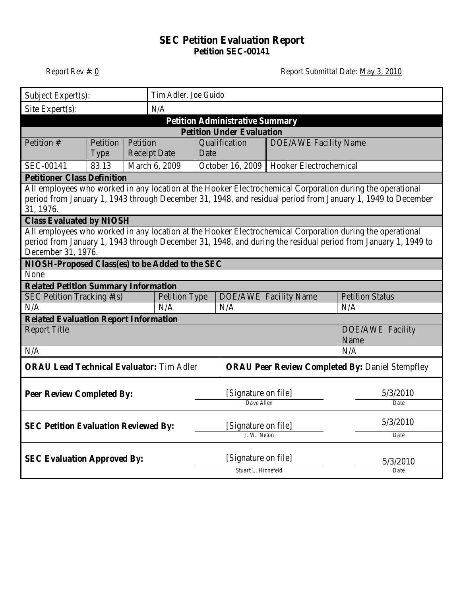#### **SEC Petition Evaluation Report Petition SEC-00141**

Report Rev #: 0

| Tim Adler, Joe Guido<br>Subject Expert(s):      |          |          |                                   |                             |                                  |                               |                                                                                                               |
|-------------------------------------------------|----------|----------|-----------------------------------|-----------------------------|----------------------------------|-------------------------------|---------------------------------------------------------------------------------------------------------------|
| Site Expert(s):                                 |          |          | N/A                               |                             |                                  |                               |                                                                                                               |
| <b>Petition Administrative Summary</b>          |          |          |                                   |                             |                                  |                               |                                                                                                               |
|                                                 |          |          |                                   |                             | <b>Petition Under Evaluation</b> |                               |                                                                                                               |
| Petition #                                      | Petition | Petition |                                   |                             | Qualification                    | <b>DOE/AWE Facility Name</b>  |                                                                                                               |
|                                                 | Type     |          | <b>Receipt Date</b>               | Date                        |                                  |                               |                                                                                                               |
| SEC-00141                                       | 83.13    |          | March 6, 2009                     |                             | October 16, 2009                 | <b>Hooker Electrochemical</b> |                                                                                                               |
| <b>Petitioner Class Definition</b>              |          |          |                                   |                             |                                  |                               |                                                                                                               |
|                                                 |          |          |                                   |                             |                                  |                               | All employees who worked in any location at the Hooker Electrochemical Corporation during the operational     |
|                                                 |          |          |                                   |                             |                                  |                               | period from January 1, 1943 through December 31, 1948, and residual period from January 1, 1949 to December   |
| 31, 1976.                                       |          |          |                                   |                             |                                  |                               |                                                                                                               |
| <b>Class Evaluated by NIOSH</b>                 |          |          |                                   |                             |                                  |                               |                                                                                                               |
|                                                 |          |          |                                   |                             |                                  |                               | All employees who worked in any location at the Hooker Electrochemical Corporation during the operational     |
|                                                 |          |          |                                   |                             |                                  |                               | period from January 1, 1943 through December 31, 1948, and during the residual period from January 1, 1949 to |
| December 31, 1976.                              |          |          |                                   |                             |                                  |                               |                                                                                                               |
| NIOSH-Proposed Class(es) to be Added to the SEC |          |          |                                   |                             |                                  |                               |                                                                                                               |
| None                                            |          |          |                                   |                             |                                  |                               |                                                                                                               |
| <b>Related Petition Summary Information</b>     |          |          |                                   |                             |                                  |                               |                                                                                                               |
| SEC Petition Tracking #(s)                      |          |          | Petition Type                     |                             |                                  | <b>DOE/AWE</b> Facility Name  | <b>Petition Status</b>                                                                                        |
| N/A<br>N/A                                      |          |          | N/A                               |                             | N/A                              |                               |                                                                                                               |
| <b>Related Evaluation Report Information</b>    |          |          |                                   |                             |                                  |                               |                                                                                                               |
| <b>Report Title</b>                             |          |          |                                   |                             |                                  |                               | <b>DOE/AWE Facility</b>                                                                                       |
|                                                 |          |          |                                   |                             |                                  |                               | Name                                                                                                          |
| N/A                                             |          |          |                                   |                             |                                  |                               | N/A                                                                                                           |
| <b>ORAU Lead Technical Evaluator: Tim Adler</b> |          |          |                                   |                             |                                  |                               | <b>ORAU Peer Review Completed By: Daniel Stempfley</b>                                                        |
|                                                 |          |          |                                   |                             |                                  |                               |                                                                                                               |
| <b>Peer Review Completed By:</b>                |          |          | [Signature on file]<br>Dave Allen |                             | 5/3/2010<br>Date                 |                               |                                                                                                               |
|                                                 |          |          |                                   |                             |                                  |                               |                                                                                                               |
|                                                 |          |          |                                   |                             | [Signature on file]              |                               | 5/3/2010                                                                                                      |
| <b>SEC Petition Evaluation Reviewed By:</b>     |          |          | J. W. Neton                       |                             | Date                             |                               |                                                                                                               |
|                                                 |          |          |                                   |                             |                                  |                               |                                                                                                               |
| <b>SEC Evaluation Approved By:</b>              |          |          |                                   |                             | [Signature on file]              |                               | 5/3/2010                                                                                                      |
|                                                 |          |          |                                   | Stuart L. Hinnefeld<br>Date |                                  |                               |                                                                                                               |
|                                                 |          |          |                                   |                             |                                  |                               |                                                                                                               |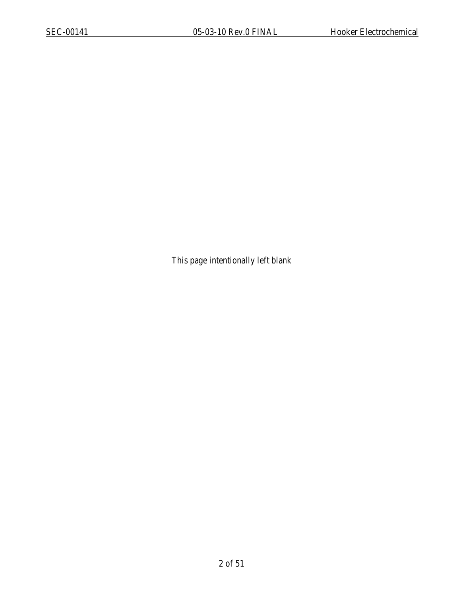This page intentionally left blank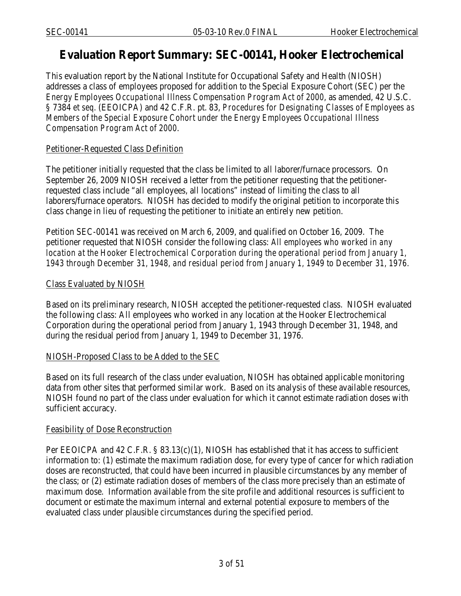## **Evaluation Report Summary: SEC-00141, Hooker Electrochemical**

This evaluation report by the National Institute for Occupational Safety and Health (NIOSH) addresses a class of employees proposed for addition to the Special Exposure Cohort (SEC) per the *Energy Employees Occupational Illness Compensation Program Act of 2000*, as amended, 42 U.S.C. § 7384 *et seq.* (EEOICPA) and 42 C.F.R. pt. 83, *Procedures for Designating Classes of Employees as Members of the Special Exposure Cohort under the Energy Employees Occupational Illness Compensation Program Act of 2000*.

#### Petitioner-Requested Class Definition

The petitioner initially requested that the class be limited to all laborer/furnace processors. On September 26, 2009 NIOSH received a letter from the petitioner requesting that the petitionerrequested class include "all employees, all locations" instead of limiting the class to all laborers/furnace operators. NIOSH has decided to modify the original petition to incorporate this class change in lieu of requesting the petitioner to initiate an entirely new petition.

Petition SEC-00141 was received on March 6, 2009, and qualified on October 16, 2009. The petitioner requested that NIOSH consider the following class: *All employees who worked in any location at the Hooker Electrochemical Corporation during the operational period from January 1, 1943 through December 31, 1948, and residual period from January 1, 1949 to December 31, 1976.*

#### Class Evaluated by NIOSH

Based on its preliminary research, NIOSH accepted the petitioner-requested class. NIOSH evaluated the following class: All employees who worked in any location at the Hooker Electrochemical Corporation during the operational period from January 1, 1943 through December 31, 1948, and during the residual period from January 1, 1949 to December 31, 1976.

#### NIOSH-Proposed Class to be Added to the SEC

Based on its full research of the class under evaluation, NIOSH has obtained applicable monitoring data from other sites that performed similar work. Based on its analysis of these available resources, NIOSH found no part of the class under evaluation for which it cannot estimate radiation doses with sufficient accuracy.

#### Feasibility of Dose Reconstruction

Per EEOICPA and 42 C.F.R. § 83.13(c)(1), NIOSH has established that it has access to sufficient information to: (1) estimate the maximum radiation dose, for every type of cancer for which radiation doses are reconstructed, that could have been incurred in plausible circumstances by any member of the class; or (2) estimate radiation doses of members of the class more precisely than an estimate of maximum dose. Information available from the site profile and additional resources is sufficient to document or estimate the maximum internal and external potential exposure to members of the evaluated class under plausible circumstances during the specified period.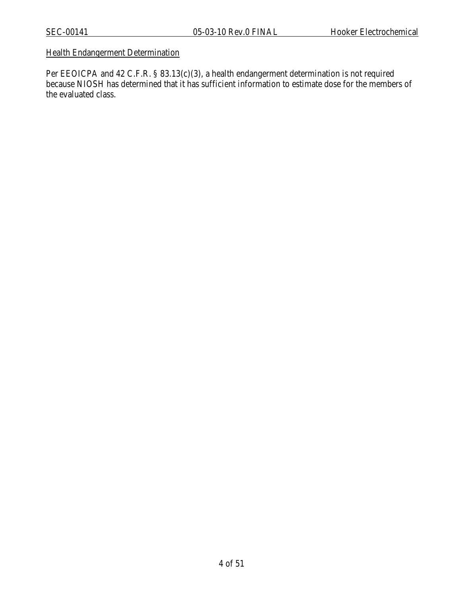#### Health Endangerment Determination

Per EEOICPA and 42 C.F.R. § 83.13(c)(3), a health endangerment determination is not required because NIOSH has determined that it has sufficient information to estimate dose for the members of the evaluated class.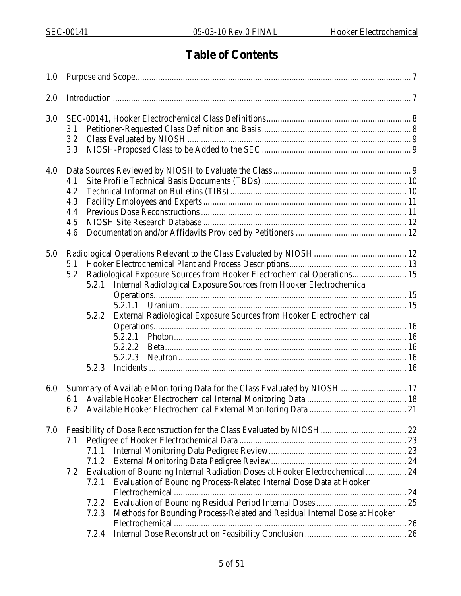# **Table of Contents**

| 1.0 |     |       |                                                                               |  |
|-----|-----|-------|-------------------------------------------------------------------------------|--|
| 2.0 |     |       |                                                                               |  |
| 3.0 |     |       |                                                                               |  |
|     | 3.1 |       |                                                                               |  |
|     | 3.2 |       |                                                                               |  |
|     | 3.3 |       |                                                                               |  |
| 4.0 |     |       |                                                                               |  |
|     | 4.1 |       |                                                                               |  |
|     | 4.2 |       |                                                                               |  |
|     | 4.3 |       |                                                                               |  |
|     | 4.4 |       |                                                                               |  |
|     | 4.5 |       |                                                                               |  |
|     | 4.6 |       |                                                                               |  |
| 5.0 |     |       |                                                                               |  |
|     | 5.1 |       |                                                                               |  |
|     | 5.2 |       | Radiological Exposure Sources from Hooker Electrochemical Operations 15       |  |
|     |     | 5.2.1 | Internal Radiological Exposure Sources from Hooker Electrochemical            |  |
|     |     |       |                                                                               |  |
|     |     |       |                                                                               |  |
|     |     | 5.2.2 | External Radiological Exposure Sources from Hooker Electrochemical            |  |
|     |     |       |                                                                               |  |
|     |     |       | 5.2.2.1                                                                       |  |
|     |     |       | 5.2.2.2                                                                       |  |
|     |     |       | 5.2.2.3                                                                       |  |
|     |     | 5.2.3 |                                                                               |  |
| 6.0 |     |       | Summary of Available Monitoring Data for the Class Evaluated by NIOSH  17     |  |
|     | 6.1 |       |                                                                               |  |
|     | 6.2 |       |                                                                               |  |
| 7.0 |     |       |                                                                               |  |
|     | 7.1 |       |                                                                               |  |
|     |     | 7.1.1 |                                                                               |  |
|     |     | 7.1.2 |                                                                               |  |
|     | 7.2 |       | Evaluation of Bounding Internal Radiation Doses at Hooker Electrochemical  24 |  |
|     |     | 7.2.1 | Evaluation of Bounding Process-Related Internal Dose Data at Hooker           |  |
|     |     |       |                                                                               |  |
|     |     | 7.2.2 |                                                                               |  |
|     |     | 7.2.3 | Methods for Bounding Process-Related and Residual Internal Dose at Hooker     |  |
|     |     |       |                                                                               |  |
|     |     | 7.2.4 |                                                                               |  |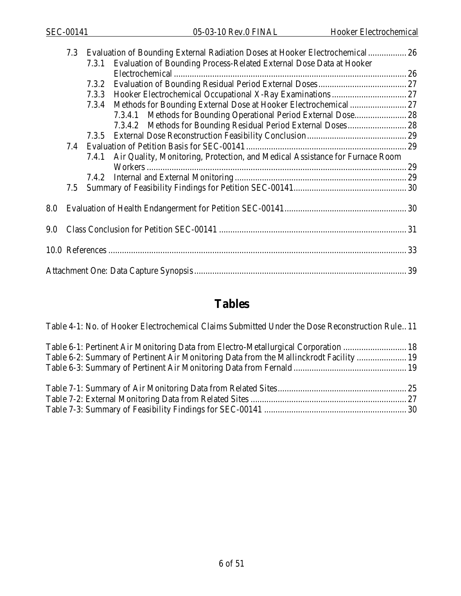|     | 7.3 | Evaluation of Bounding External Radiation Doses at Hooker Electrochemical 26 |                                                                              |  |  |  |
|-----|-----|------------------------------------------------------------------------------|------------------------------------------------------------------------------|--|--|--|
|     |     | 7.3.1                                                                        | Evaluation of Bounding Process-Related External Dose Data at Hooker          |  |  |  |
|     |     |                                                                              |                                                                              |  |  |  |
|     |     | 7.3.2                                                                        |                                                                              |  |  |  |
|     |     | 7.3.3                                                                        |                                                                              |  |  |  |
|     |     | 7.3.4                                                                        |                                                                              |  |  |  |
|     |     |                                                                              |                                                                              |  |  |  |
|     |     |                                                                              |                                                                              |  |  |  |
|     |     | 7.3.5                                                                        |                                                                              |  |  |  |
|     | 7.4 |                                                                              |                                                                              |  |  |  |
|     |     | 7.4.1                                                                        | Air Quality, Monitoring, Protection, and Medical Assistance for Furnace Room |  |  |  |
|     |     |                                                                              |                                                                              |  |  |  |
|     |     |                                                                              |                                                                              |  |  |  |
|     | 7.5 |                                                                              |                                                                              |  |  |  |
|     |     |                                                                              |                                                                              |  |  |  |
| 0.8 |     |                                                                              |                                                                              |  |  |  |
|     |     |                                                                              |                                                                              |  |  |  |
| 9.0 |     |                                                                              |                                                                              |  |  |  |
|     |     |                                                                              |                                                                              |  |  |  |
|     |     |                                                                              |                                                                              |  |  |  |
|     |     |                                                                              |                                                                              |  |  |  |
|     |     |                                                                              |                                                                              |  |  |  |

# **Tables**

| Table 4-1: No. of Hooker Electrochemical Claims Submitted Under the Dose Reconstruction Rule 11 |  |
|-------------------------------------------------------------------------------------------------|--|
| Table 6-1: Pertinent Air Monitoring Data from Electro-Metallurgical Corporation  18             |  |
| Table 6-2: Summary of Pertinent Air Monitoring Data from the Mallinckrodt Facility  19          |  |
|                                                                                                 |  |
|                                                                                                 |  |
|                                                                                                 |  |
|                                                                                                 |  |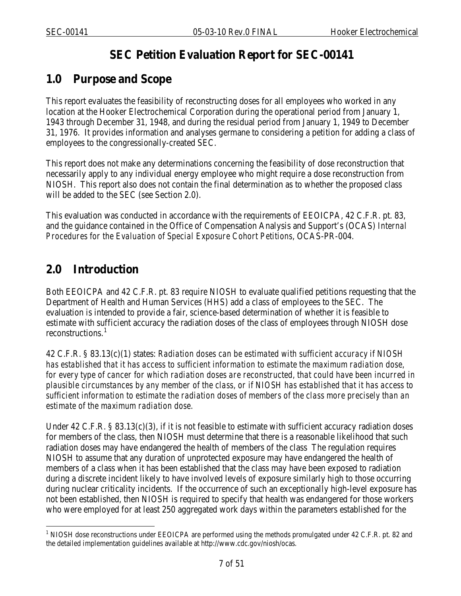## **SEC Petition Evaluation Report for SEC-00141**

## <span id="page-6-0"></span>**1.0 Purpose and Scope**

This report evaluates the feasibility of reconstructing doses for all employees who worked in any location at the Hooker Electrochemical Corporation during the operational period from January 1, 1943 through December 31, 1948, and during the residual period from January 1, 1949 to December 31, 1976. It provides information and analyses germane to considering a petition for adding a class of employees to the congressionally-created SEC.

This report does not make any determinations concerning the feasibility of dose reconstruction that necessarily apply to any individual energy employee who might require a dose reconstruction from NIOSH. This report also does not contain the final determination as to whether the proposed class will be added to the SEC (see Section 2.0).

This evaluation was conducted in accordance with the requirements of EEOICPA, 42 C.F.R. pt. 83, and the guidance contained in the Office of Compensation Analysis and Support's (OCAS) *Internal Procedures for the Evaluation of Special Exposure Cohort Petitions*, OCAS-PR-004.

## <span id="page-6-1"></span>**2.0 Introduction**

Both EEOICPA and 42 C.F.R. pt. 83 require NIOSH to evaluate qualified petitions requesting that the Department of Health and Human Services (HHS) add a class of employees to the SEC. The evaluation is intended to provide a fair, science-based determination of whether it is feasible to estimate with sufficient accuracy the radiation doses of the class of employees through NIOSH dose reconstructions.<sup>[1](#page-6-2)</sup>

42 C.F.R. § 83.13(c)(1) states: *Radiation doses can be estimated with sufficient accuracy if NIOSH has established that it has access to sufficient information to estimate the maximum radiation dose, for every type of cancer for which radiation doses are reconstructed, that could have been incurred in plausible circumstances by any member of the class, or if NIOSH has established that it has access to sufficient information to estimate the radiation doses of members of the class more precisely than an estimate of the maximum radiation dose.*

Under 42 C.F.R. § 83.13(c)(3), if it is not feasible to estimate with sufficient accuracy radiation doses for members of the class, then NIOSH must determine that there is a reasonable likelihood that such radiation doses may have endangered the health of members of the class The regulation requires NIOSH to assume that any duration of unprotected exposure may have endangered the health of members of a class when it has been established that the class may have been exposed to radiation during a discrete incident likely to have involved levels of exposure similarly high to those occurring during nuclear criticality incidents. If the occurrence of such an exceptionally high-level exposure has not been established, then NIOSH is required to specify that health was endangered for those workers who were employed for at least 250 aggregated work days within the parameters established for the

<span id="page-6-2"></span> $\overline{a}$  $1$  NIOSH dose reconstructions under EEOICPA are performed using the methods promulgated under 42 C.F.R. pt. 82 and the detailed implementation guidelines available at http://www.cdc.gov/niosh/ocas.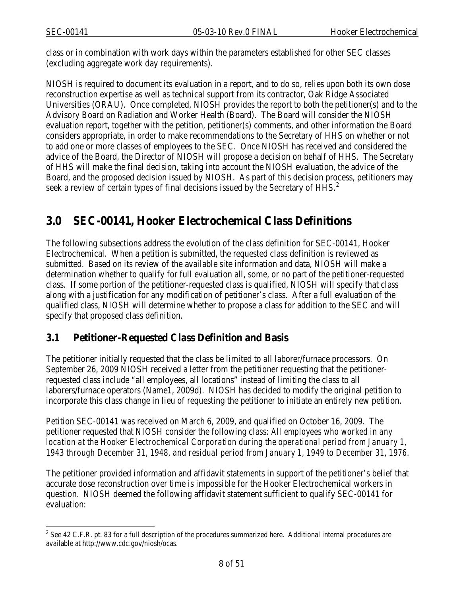class or in combination with work days within the parameters established for other SEC classes (excluding aggregate work day requirements).

NIOSH is required to document its evaluation in a report, and to do so, relies upon both its own dose reconstruction expertise as well as technical support from its contractor, Oak Ridge Associated Universities (ORAU). Once completed, NIOSH provides the report to both the petitioner(s) and to the Advisory Board on Radiation and Worker Health (Board). The Board will consider the NIOSH evaluation report, together with the petition, petitioner(s) comments, and other information the Board considers appropriate, in order to make recommendations to the Secretary of HHS on whether or not to add one or more classes of employees to the SEC. Once NIOSH has received and considered the advice of the Board, the Director of NIOSH will propose a decision on behalf of HHS. The Secretary of HHS will make the final decision, taking into account the NIOSH evaluation, the advice of the Board, and the proposed decision issued by NIOSH. As part of this decision process, petitioners may seek a review of certain types of final decisions issued by the Secretary of HHS.<sup>[2](#page-7-2)</sup>

## <span id="page-7-0"></span>**3.0 SEC-00141, Hooker Electrochemical Class Definitions**

The following subsections address the evolution of the class definition for SEC-00141, Hooker Electrochemical. When a petition is submitted, the requested class definition is reviewed as submitted. Based on its review of the available site information and data, NIOSH will make a determination whether to qualify for full evaluation all, some, or no part of the petitioner-requested class. If some portion of the petitioner-requested class is qualified, NIOSH will specify that class along with a justification for any modification of petitioner's class. After a full evaluation of the qualified class, NIOSH will determine whether to propose a class for addition to the SEC and will specify that proposed class definition.

### <span id="page-7-1"></span>**3.1 Petitioner-Requested Class Definition and Basis**

The petitioner initially requested that the class be limited to all laborer/furnace processors. On September 26, 2009 NIOSH received a letter from the petitioner requesting that the petitionerrequested class include "all employees, all locations" instead of limiting the class to all laborers/furnace operators (Name1, 2009d). NIOSH has decided to modify the original petition to incorporate this class change in lieu of requesting the petitioner to initiate an entirely new petition.

Petition SEC-00141 was received on March 6, 2009, and qualified on October 16, 2009. The petitioner requested that NIOSH consider the following class: *All employees who worked in any location at the Hooker Electrochemical Corporation during the operational period from January 1, 1943 through December 31, 1948, and residual period from January 1, 1949 to December 31, 1976.*

The petitioner provided information and affidavit statements in support of the petitioner's belief that accurate dose reconstruction over time is impossible for the Hooker Electrochemical workers in question. NIOSH deemed the following affidavit statement sufficient to qualify SEC-00141 for evaluation:

<span id="page-7-2"></span> $\overline{a}$  $2^2$  See 42 C.F.R. pt. 83 for a full description of the procedures summarized here. Additional internal procedures are available at http://www.cdc.gov/niosh/ocas.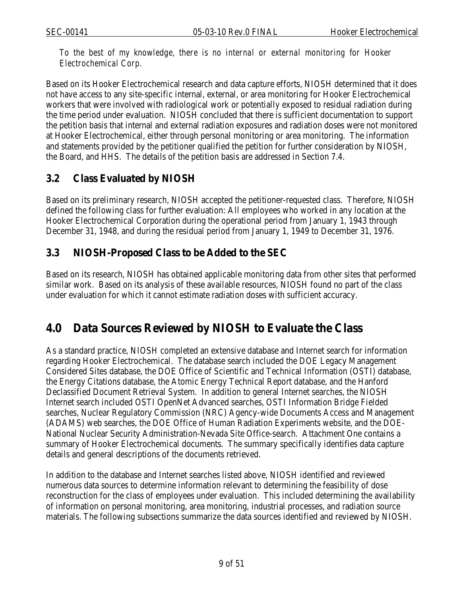*To the best of my knowledge, there is no internal or external monitoring for Hooker Electrochemical Corp.*

Based on its Hooker Electrochemical research and data capture efforts, NIOSH determined that it does not have access to any site-specific internal, external, or area monitoring for Hooker Electrochemical workers that were involved with radiological work or potentially exposed to residual radiation during the time period under evaluation. NIOSH concluded that there is sufficient documentation to support the petition basis that internal and external radiation exposures and radiation doses were not monitored at Hooker Electrochemical, either through personal monitoring or area monitoring. The information and statements provided by the petitioner qualified the petition for further consideration by NIOSH, the Board, and HHS. The details of the petition basis are addressed in Section 7.4.

## <span id="page-8-0"></span>**3.2 Class Evaluated by NIOSH**

Based on its preliminary research, NIOSH accepted the petitioner-requested class. Therefore, NIOSH defined the following class for further evaluation: All employees who worked in any location at the Hooker Electrochemical Corporation during the operational period from January 1, 1943 through December 31, 1948, and during the residual period from January 1, 1949 to December 31, 1976.

## <span id="page-8-1"></span>**3.3 NIOSH-Proposed Class to be Added to the SEC**

Based on its research, NIOSH has obtained applicable monitoring data from other sites that performed similar work. Based on its analysis of these available resources, NIOSH found no part of the class under evaluation for which it cannot estimate radiation doses with sufficient accuracy.

## <span id="page-8-2"></span>**4.0 Data Sources Reviewed by NIOSH to Evaluate the Class**

As a standard practice, NIOSH completed an extensive database and Internet search for information regarding Hooker Electrochemical. The database search included the DOE Legacy Management Considered Sites database, the DOE Office of Scientific and Technical Information (OSTI) database, the Energy Citations database, the Atomic Energy Technical Report database, and the Hanford Declassified Document Retrieval System. In addition to general Internet searches, the NIOSH Internet search included OSTI OpenNet Advanced searches, OSTI Information Bridge Fielded searches, Nuclear Regulatory Commission (NRC) Agency-wide Documents Access and Management (ADAMS) web searches, the DOE Office of Human Radiation Experiments website, and the DOE-National Nuclear Security Administration-Nevada Site Office-search. Attachment One contains a summary of Hooker Electrochemical documents. The summary specifically identifies data capture details and general descriptions of the documents retrieved.

In addition to the database and Internet searches listed above, NIOSH identified and reviewed numerous data sources to determine information relevant to determining the feasibility of dose reconstruction for the class of employees under evaluation. This included determining the availability of information on personal monitoring, area monitoring, industrial processes, and radiation source materials. The following subsections summarize the data sources identified and reviewed by NIOSH.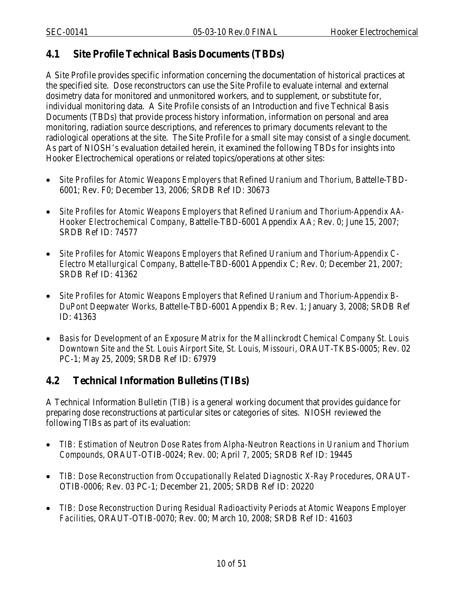### <span id="page-9-0"></span>**4.1 Site Profile Technical Basis Documents (TBDs)**

A Site Profile provides specific information concerning the documentation of historical practices at the specified site. Dose reconstructors can use the Site Profile to evaluate internal and external dosimetry data for monitored and unmonitored workers, and to supplement, or substitute for, individual monitoring data. A Site Profile consists of an Introduction and five Technical Basis Documents (TBDs) that provide process history information, information on personal and area monitoring, radiation source descriptions, and references to primary documents relevant to the radiological operations at the site. The Site Profile for a small site may consist of a single document. As part of NIOSH's evaluation detailed herein, it examined the following TBDs for insights into Hooker Electrochemical operations or related topics/operations at other sites:

- *Site Profiles for Atomic Weapons Employers that Refined Uranium and Thorium*, Battelle-TBD-6001; Rev. F0; December 13, 2006; SRDB Ref ID: 30673
- *Site Profiles for Atomic Weapons Employers that Refined Uranium and Thorium-Appendix AA-Hooker Electrochemical Company*, Battelle-TBD-6001 Appendix AA; Rev. 0; June 15, 2007; SRDB Ref ID: 74577
- *Site Profiles for Atomic Weapons Employers that Refined Uranium and Thorium-Appendix C-Electro Metallurgical Company*, Battelle-TBD-6001 Appendix C; Rev. 0; December 21, 2007; SRDB Ref ID: 41362
- *Site Profiles for Atomic Weapons Employers that Refined Uranium and Thorium-Appendix B-DuPont Deepwater Works*, Battelle-TBD-6001 Appendix B; Rev. 1; January 3, 2008; SRDB Ref ID: 41363
- *Basis for Development of an Exposure Matrix for the Mallinckrodt Chemical Company St. Louis Downtown Site and the St. Louis Airport Site, St. Louis, Missouri*, ORAUT-TKBS-0005; Rev. 02 PC-1; May 25, 2009; SRDB Ref ID: 67979

### <span id="page-9-1"></span>**4.2 Technical Information Bulletins (TIBs)**

A Technical Information Bulletin (TIB) is a general working document that provides guidance for preparing dose reconstructions at particular sites or categories of sites. NIOSH reviewed the following TIBs as part of its evaluation:

- *TIB: Estimation of Neutron Dose Rates from Alpha-Neutron Reactions in Uranium and Thorium Compounds*, ORAUT-OTIB-0024; Rev. 00; April 7, 2005; SRDB Ref ID: 19445
- *TIB: Dose Reconstruction from Occupationally Related Diagnostic X-Ray Procedures*, ORAUT-OTIB-0006; Rev. 03 PC-1; December 21, 2005; SRDB Ref ID: 20220
- *TIB: Dose Reconstruction During Residual Radioactivity Periods at Atomic Weapons Employer Facilities*, ORAUT-OTIB-0070; Rev. 00; March 10, 2008; SRDB Ref ID: 41603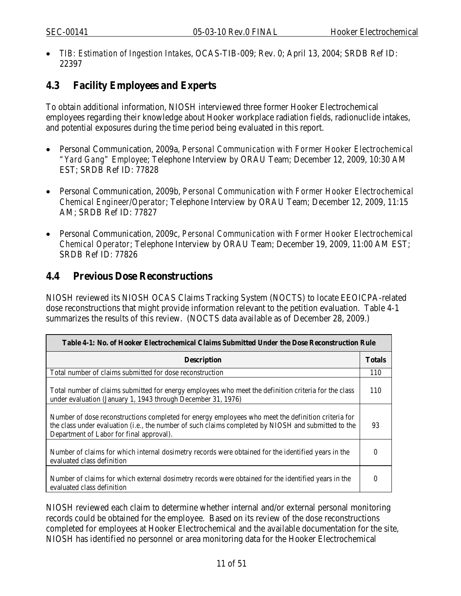• *TIB: Estimation of Ingestion Intakes*, OCAS-TIB-009; Rev. 0; April 13, 2004; SRDB Ref ID: 22397

## <span id="page-10-0"></span>**4.3 Facility Employees and Experts**

To obtain additional information, NIOSH interviewed three former Hooker Electrochemical employees regarding their knowledge about Hooker workplace radiation fields, radionuclide intakes, and potential exposures during the time period being evaluated in this report.

- Personal Communication, 2009a, *Personal Communication with Former Hooker Electrochemical "Yard Gang" Employee*; Telephone Interview by ORAU Team; December 12, 2009, 10:30 AM EST; SRDB Ref ID: 77828
- Personal Communication, 2009b, *Personal Communication with Former Hooker Electrochemical Chemical Engineer/Operator*; Telephone Interview by ORAU Team; December 12, 2009, 11:15 AM; SRDB Ref ID: 77827
- Personal Communication, 2009c, *Personal Communication with Former Hooker Electrochemical Chemical Operator*; Telephone Interview by ORAU Team; December 19, 2009, 11:00 AM EST; SRDB Ref ID: 77826

## <span id="page-10-1"></span>**4.4 Previous Dose Reconstructions**

NIOSH reviewed its NIOSH OCAS Claims Tracking System (NOCTS) to locate EEOICPA-related dose reconstructions that might provide information relevant to the petition evaluation. Table 4-1 summarizes the results of this review. (NOCTS data available as of December 28, 2009.)

| Table 4-1: No. of Hooker Electrochemical Claims Submitted Under the Dose Reconstruction Rule                                                                                                                                                          |               |  |  |
|-------------------------------------------------------------------------------------------------------------------------------------------------------------------------------------------------------------------------------------------------------|---------------|--|--|
| <b>Description</b>                                                                                                                                                                                                                                    | <b>Totals</b> |  |  |
| Total number of claims submitted for dose reconstruction                                                                                                                                                                                              | 110           |  |  |
| Total number of claims submitted for energy employees who meet the definition criteria for the class<br>under evaluation (January 1, 1943 through December 31, 1976)                                                                                  | 110           |  |  |
| Number of dose reconstructions completed for energy employees who meet the definition criteria for<br>the class under evaluation (i.e., the number of such claims completed by NIOSH and submitted to the<br>Department of Labor for final approval). | 93            |  |  |
| Number of claims for which internal dosimetry records were obtained for the identified years in the<br>evaluated class definition                                                                                                                     | $\theta$      |  |  |
| Number of claims for which external dosimetry records were obtained for the identified years in the<br>evaluated class definition                                                                                                                     | 0             |  |  |

NIOSH reviewed each claim to determine whether internal and/or external personal monitoring records could be obtained for the employee. Based on its review of the dose reconstructions completed for employees at Hooker Electrochemical and the available documentation for the site, NIOSH has identified no personnel or area monitoring data for the Hooker Electrochemical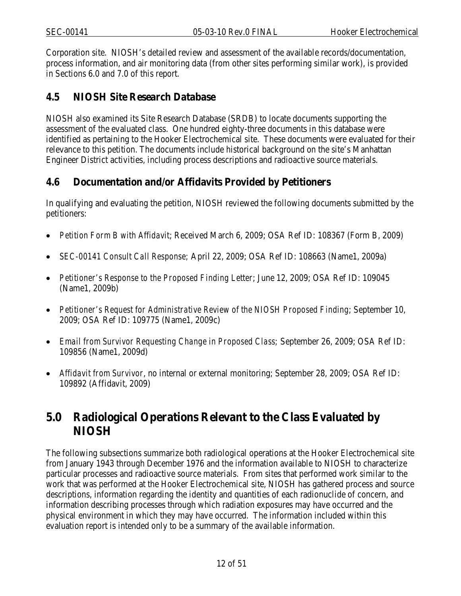Corporation site. NIOSH's detailed review and assessment of the available records/documentation, process information, and air monitoring data (from other sites performing similar work), is provided in Sections 6.0 and 7.0 of this report.

## <span id="page-11-0"></span>**4.5 NIOSH Site Research Database**

NIOSH also examined its Site Research Database (SRDB) to locate documents supporting the assessment of the evaluated class. One hundred eighty-three documents in this database were identified as pertaining to the Hooker Electrochemical site. These documents were evaluated for their relevance to this petition. The documents include historical background on the site's Manhattan Engineer District activities, including process descriptions and radioactive source materials.

### <span id="page-11-1"></span>**4.6 Documentation and/or Affidavits Provided by Petitioners**

In qualifying and evaluating the petition, NIOSH reviewed the following documents submitted by the petitioners:

- *Petition Form B with Affidavit*; Received March 6, 2009; OSA Ref ID: 108367 (Form B, 2009)
- *SEC-00141 Consult Call Response;* April 22, 2009; OSA Ref ID: 108663 (Name1, 2009a)
- *Petitioner's Response to the Proposed Finding Letter*; June 12, 2009; OSA Ref ID: 109045 (Name1, 2009b)
- *Petitioner's Request for Administrative Review of the NIOSH Proposed Finding*; September 10, 2009; OSA Ref ID: 109775 (Name1, 2009c)
- *Email from Survivor Requesting Change in Proposed Class;* September 26, 2009; OSA Ref ID: 109856 (Name1, 2009d)
- *Affidavit from Survivor*, no internal or external monitoring; September 28, 2009; OSA Ref ID: 109892 (Affidavit, 2009)

## <span id="page-11-2"></span>**5.0 Radiological Operations Relevant to the Class Evaluated by NIOSH**

The following subsections summarize both radiological operations at the Hooker Electrochemical site from January 1943 through December 1976 and the information available to NIOSH to characterize particular processes and radioactive source materials. From sites that performed work similar to the work that was performed at the Hooker Electrochemical site, NIOSH has gathered process and source descriptions, information regarding the identity and quantities of each radionuclide of concern, and information describing processes through which radiation exposures may have occurred and the physical environment in which they may have occurred. The information included within this evaluation report is intended only to be a summary of the available information.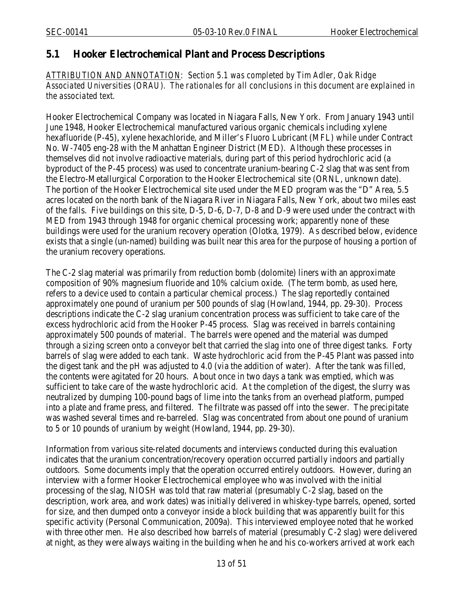### <span id="page-12-0"></span>**5.1 Hooker Electrochemical Plant and Process Descriptions**

#### *ATTRIBUTION AND ANNOTATION: Section 5.1 was completed by Tim Adler, Oak Ridge Associated Universities (ORAU). The rationales for all conclusions in this document are explained in the associated text.*

Hooker Electrochemical Company was located in Niagara Falls, New York. From January 1943 until June 1948, Hooker Electrochemical manufactured various organic chemicals including xylene hexafluoride (P-45), xylene hexachloride, and Miller's Fluoro Lubricant (MFL) while under Contract No. W-7405 eng-28 with the Manhattan Engineer District (MED). Although these processes in themselves did not involve radioactive materials, during part of this period hydrochloric acid (a byproduct of the P-45 process) was used to concentrate uranium-bearing C-2 slag that was sent from the Electro-Metallurgical Corporation to the Hooker Electrochemical site (ORNL, unknown date). The portion of the Hooker Electrochemical site used under the MED program was the "D" Area, 5.5 acres located on the north bank of the Niagara River in Niagara Falls, New York, about two miles east of the falls. Five buildings on this site, D-5, D-6, D-7, D-8 and D-9 were used under the contract with MED from 1943 through 1948 for organic chemical processing work; apparently none of these buildings were used for the uranium recovery operation (Olotka, 1979). As described below, evidence exists that a single (un-named) building was built near this area for the purpose of housing a portion of the uranium recovery operations.

The C-2 slag material was primarily from reduction bomb (dolomite) liners with an approximate composition of 90% magnesium fluoride and 10% calcium oxide. (The term bomb, as used here, refers to a device used to contain a particular chemical process.) The slag reportedly contained approximately one pound of uranium per 500 pounds of slag (Howland, 1944, pp. 29-30). Process descriptions indicate the C-2 slag uranium concentration process was sufficient to take care of the excess hydrochloric acid from the Hooker P-45 process. Slag was received in barrels containing approximately 500 pounds of material. The barrels were opened and the material was dumped through a sizing screen onto a conveyor belt that carried the slag into one of three digest tanks. Forty barrels of slag were added to each tank. Waste hydrochloric acid from the P-45 Plant was passed into the digest tank and the pH was adjusted to 4.0 (via the addition of water). After the tank was filled, the contents were agitated for 20 hours. About once in two days a tank was emptied, which was sufficient to take care of the waste hydrochloric acid. At the completion of the digest, the slurry was neutralized by dumping 100-pound bags of lime into the tanks from an overhead platform, pumped into a plate and frame press, and filtered. The filtrate was passed off into the sewer. The precipitate was washed several times and re-barreled. Slag was concentrated from about one pound of uranium to 5 or 10 pounds of uranium by weight (Howland, 1944, pp. 29-30).

Information from various site-related documents and interviews conducted during this evaluation indicates that the uranium concentration/recovery operation occurred partially indoors and partially outdoors. Some documents imply that the operation occurred entirely outdoors. However, during an interview with a former Hooker Electrochemical employee who was involved with the initial processing of the slag, NIOSH was told that raw material (presumably C-2 slag, based on the description, work area, and work dates) was initially delivered in whiskey-type barrels, opened, sorted for size, and then dumped onto a conveyor inside a block building that was apparently built for this specific activity (Personal Communication, 2009a). This interviewed employee noted that he worked with three other men. He also described how barrels of material (presumably C-2 slag) were delivered at night, as they were always waiting in the building when he and his co-workers arrived at work each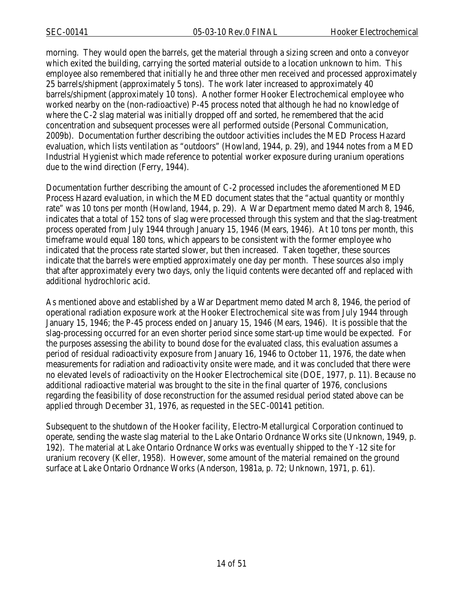morning. They would open the barrels, get the material through a sizing screen and onto a conveyor which exited the building, carrying the sorted material outside to a location unknown to him. This employee also remembered that initially he and three other men received and processed approximately 25 barrels/shipment (approximately 5 tons). The work later increased to approximately 40 barrels/shipment (approximately 10 tons). Another former Hooker Electrochemical employee who worked nearby on the (non-radioactive) P-45 process noted that although he had no knowledge of where the C-2 slag material was initially dropped off and sorted, he remembered that the acid concentration and subsequent processes were all performed outside (Personal Communication, 2009b). Documentation further describing the outdoor activities includes the MED Process Hazard evaluation, which lists ventilation as "outdoors" (Howland, 1944, p. 29), and 1944 notes from a MED Industrial Hygienist which made reference to potential worker exposure during uranium operations due to the wind direction (Ferry, 1944).

Documentation further describing the amount of C-2 processed includes the aforementioned MED Process Hazard evaluation, in which the MED document states that the "actual quantity or monthly rate" was 10 tons per month (Howland, 1944, p. 29). A War Department memo dated March 8, 1946, indicates that a total of 152 tons of slag were processed through this system and that the slag-treatment process operated from July 1944 through January 15, 1946 (Mears, 1946). At 10 tons per month, this timeframe would equal 180 tons, which appears to be consistent with the former employee who indicated that the process rate started slower, but then increased. Taken together, these sources indicate that the barrels were emptied approximately one day per month. These sources also imply that after approximately every two days, only the liquid contents were decanted off and replaced with additional hydrochloric acid.

As mentioned above and established by a War Department memo dated March 8, 1946, the period of operational radiation exposure work at the Hooker Electrochemical site was from July 1944 through January 15, 1946; the P-45 process ended on January 15, 1946 (Mears, 1946). It is possible that the slag-processing occurred for an even shorter period since some start-up time would be expected. For the purposes assessing the ability to bound dose for the evaluated class, this evaluation assumes a period of residual radioactivity exposure from January 16, 1946 to October 11, 1976, the date when measurements for radiation and radioactivity onsite were made, and it was concluded that there were no elevated levels of radioactivity on the Hooker Electrochemical site (DOE, 1977, p. 11). Because no additional radioactive material was brought to the site in the final quarter of 1976, conclusions regarding the feasibility of dose reconstruction for the assumed residual period stated above can be applied through December 31, 1976, as requested in the SEC-00141 petition.

Subsequent to the shutdown of the Hooker facility, Electro-Metallurgical Corporation continued to operate, sending the waste slag material to the Lake Ontario Ordnance Works site (Unknown, 1949, p. 192). The material at Lake Ontario Ordnance Works was eventually shipped to the Y-12 site for uranium recovery (Keller, 1958). However, some amount of the material remained on the ground surface at Lake Ontario Ordnance Works (Anderson, 1981a, p. 72; Unknown, 1971, p. 61).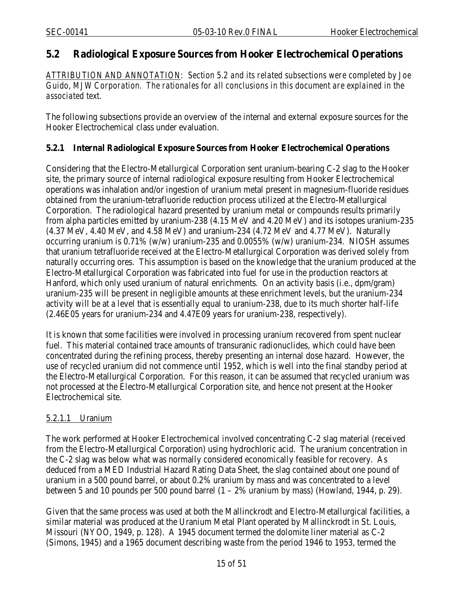### <span id="page-14-0"></span>**5.2 Radiological Exposure Sources from Hooker Electrochemical Operations**

*ATTRIBUTION AND ANNOTATION: Section 5.2 and its related subsections were completed by Joe Guido, MJW Corporation. The rationales for all conclusions in this document are explained in the associated text.*

The following subsections provide an overview of the internal and external exposure sources for the Hooker Electrochemical class under evaluation.

#### <span id="page-14-1"></span>**5.2.1 Internal Radiological Exposure Sources from Hooker Electrochemical Operations**

Considering that the Electro-Metallurgical Corporation sent uranium-bearing C-2 slag to the Hooker site, the primary source of internal radiological exposure resulting from Hooker Electrochemical operations was inhalation and/or ingestion of uranium metal present in magnesium-fluoride residues obtained from the uranium-tetrafluoride reduction process utilized at the Electro-Metallurgical Corporation. The radiological hazard presented by uranium metal or compounds results primarily from alpha particles emitted by uranium-238 (4.15 MeV and 4.20 MeV) and its isotopes uranium-235 (4.37 MeV, 4.40 MeV, and 4.58 MeV) and uranium-234 (4.72 MeV and 4.77 MeV). Naturally occurring uranium is 0.71% (w/w) uranium-235 and 0.0055% (w/w) uranium-234. NIOSH assumes that uranium tetrafluoride received at the Electro-Metallurgical Corporation was derived solely from naturally occurring ores. This assumption is based on the knowledge that the uranium produced at the Electro-Metallurgical Corporation was fabricated into fuel for use in the production reactors at Hanford, which only used uranium of natural enrichments. On an activity basis (i.e., dpm/gram) uranium-235 will be present in negligible amounts at these enrichment levels, but the uranium-234 activity will be at a level that is essentially equal to uranium-238, due to its much shorter half-life (2.46E05 years for uranium-234 and 4.47E09 years for uranium-238, respectively).

It is known that some facilities were involved in processing uranium recovered from spent nuclear fuel. This material contained trace amounts of transuranic radionuclides, which could have been concentrated during the refining process, thereby presenting an internal dose hazard. However, the use of recycled uranium did not commence until 1952, which is well into the final standby period at the Electro-Metallurgical Corporation. For this reason, it can be assumed that recycled uranium was not processed at the Electro-Metallurgical Corporation site, and hence not present at the Hooker Electrochemical site.

#### <span id="page-14-2"></span>5.2.1.1 Uranium

The work performed at Hooker Electrochemical involved concentrating C-2 slag material (received from the Electro-Metallurgical Corporation) using hydrochloric acid. The uranium concentration in the C-2 slag was below what was normally considered economically feasible for recovery. As deduced from a MED Industrial Hazard Rating Data Sheet, the slag contained about one pound of uranium in a 500 pound barrel, or about 0.2% uranium by mass and was concentrated to a level between 5 and 10 pounds per 500 pound barrel  $(1 – 2%$  uranium by mass) (Howland, 1944, p. 29).

Given that the same process was used at both the Mallinckrodt and Electro-Metallurgical facilities, a similar material was produced at the Uranium Metal Plant operated by Mallinckrodt in St. Louis, Missouri (NYOO, 1949, p. 128). A 1945 document termed the dolomite liner material as C-2 (Simons, 1945) and a 1965 document describing waste from the period 1946 to 1953, termed the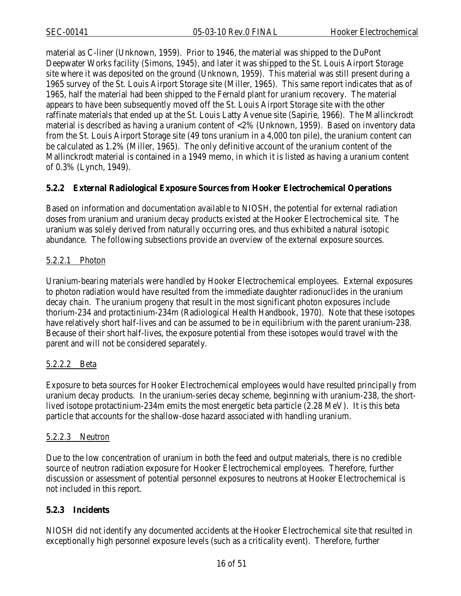material as C-liner (Unknown, 1959). Prior to 1946, the material was shipped to the DuPont Deepwater Works facility (Simons, 1945), and later it was shipped to the St. Louis Airport Storage site where it was deposited on the ground (Unknown, 1959). This material was still present during a 1965 survey of the St. Louis Airport Storage site (Miller, 1965). This same report indicates that as of 1965, half the material had been shipped to the Fernald plant for uranium recovery. The material appears to have been subsequently moved off the St. Louis Airport Storage site with the other raffinate materials that ended up at the St. Louis Latty Avenue site (Sapirie, 1966). The Mallinckrodt material is described as having a uranium content of <2% (Unknown, 1959). Based on inventory data from the St. Louis Airport Storage site (49 tons uranium in a 4,000 ton pile), the uranium content can be calculated as 1.2% (Miller, 1965). The only definitive account of the uranium content of the Mallinckrodt material is contained in a 1949 memo, in which it is listed as having a uranium content of 0.3% (Lynch, 1949).

#### <span id="page-15-0"></span>**5.2.2 External Radiological Exposure Sources from Hooker Electrochemical Operations**

Based on information and documentation available to NIOSH, the potential for external radiation doses from uranium and uranium decay products existed at the Hooker Electrochemical site. The uranium was solely derived from naturally occurring ores, and thus exhibited a natural isotopic abundance. The following subsections provide an overview of the external exposure sources.

#### <span id="page-15-1"></span>5.2.2.1 Photon

Uranium-bearing materials were handled by Hooker Electrochemical employees. External exposures to photon radiation would have resulted from the immediate daughter radionuclides in the uranium decay chain. The uranium progeny that result in the most significant photon exposures include thorium-234 and protactinium-234m (Radiological Health Handbook, 1970). Note that these isotopes have relatively short half-lives and can be assumed to be in equilibrium with the parent uranium-238. Because of their short half-lives, the exposure potential from these isotopes would travel with the parent and will not be considered separately.

#### <span id="page-15-2"></span>5.2.2.2 Beta

Exposure to beta sources for Hooker Electrochemical employees would have resulted principally from uranium decay products. In the uranium-series decay scheme, beginning with uranium-238, the shortlived isotope protactinium-234m emits the most energetic beta particle (2.28 MeV). It is this beta particle that accounts for the shallow-dose hazard associated with handling uranium.

#### <span id="page-15-3"></span>5.2.2.3 Neutron

Due to the low concentration of uranium in both the feed and output materials, there is no credible source of neutron radiation exposure for Hooker Electrochemical employees. Therefore, further discussion or assessment of potential personnel exposures to neutrons at Hooker Electrochemical is not included in this report.

#### <span id="page-15-4"></span>**5.2.3 Incidents**

NIOSH did not identify any documented accidents at the Hooker Electrochemical site that resulted in exceptionally high personnel exposure levels (such as a criticality event). Therefore, further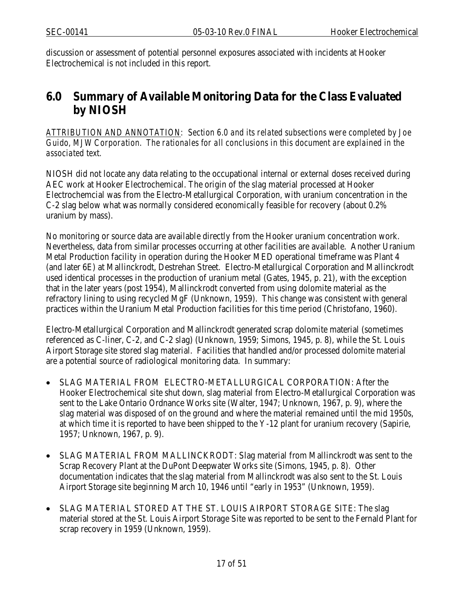discussion or assessment of potential personnel exposures associated with incidents at Hooker Electrochemical is not included in this report.

## <span id="page-16-0"></span>**6.0 Summary of Available Monitoring Data for the Class Evaluated by NIOSH**

*ATTRIBUTION AND ANNOTATION: Section 6.0 and its related subsections were completed by Joe Guido, MJW Corporation. The rationales for all conclusions in this document are explained in the associated text.*

NIOSH did not locate any data relating to the occupational internal or external doses received during AEC work at Hooker Electrochemical. The origin of the slag material processed at Hooker Electrochemcial was from the Electro-Metallurgical Corporation, with uranium concentration in the C-2 slag below what was normally considered economically feasible for recovery (about 0.2% uranium by mass).

No monitoring or source data are available directly from the Hooker uranium concentration work. Nevertheless, data from similar processes occurring at other facilities are available. Another Uranium Metal Production facility in operation during the Hooker MED operational timeframe was Plant 4 (and later 6E) at Mallinckrodt, Destrehan Street. Electro-Metallurgical Corporation and Mallinckrodt used identical processes in the production of uranium metal (Gates, 1945, p. 21), with the exception that in the later years (post 1954), Mallinckrodt converted from using dolomite material as the refractory lining to using recycled MgF (Unknown, 1959). This change was consistent with general practices within the Uranium Metal Production facilities for this time period (Christofano, 1960).

Electro-Metallurgical Corporation and Mallinckrodt generated scrap dolomite material (sometimes referenced as C-liner, C-2, and C-2 slag) (Unknown, 1959; Simons, 1945, p. 8), while the St. Louis Airport Storage site stored slag material. Facilities that handled and/or processed dolomite material are a potential source of radiological monitoring data. In summary:

- SLAG MATERIAL FROM ELECTRO-METALLURGICAL CORPORATION: After the Hooker Electrochemical site shut down, slag material from Electro-Metallurgical Corporation was sent to the Lake Ontario Ordnance Works site (Walter, 1947; Unknown, 1967, p. 9), where the slag material was disposed of on the ground and where the material remained until the mid 1950s, at which time it is reported to have been shipped to the Y-12 plant for uranium recovery (Sapirie, 1957; Unknown, 1967, p. 9).
- SLAG MATERIAL FROM MALLINCKRODT: Slag material from Mallinckrodt was sent to the Scrap Recovery Plant at the DuPont Deepwater Works site (Simons, 1945, p. 8). Other documentation indicates that the slag material from Mallinckrodt was also sent to the St. Louis Airport Storage site beginning March 10, 1946 until "early in 1953" (Unknown, 1959).
- SLAG MATERIAL STORED AT THE ST. LOUIS AIRPORT STORAGE SITE: The slag material stored at the St. Louis Airport Storage Site was reported to be sent to the Fernald Plant for scrap recovery in 1959 (Unknown, 1959).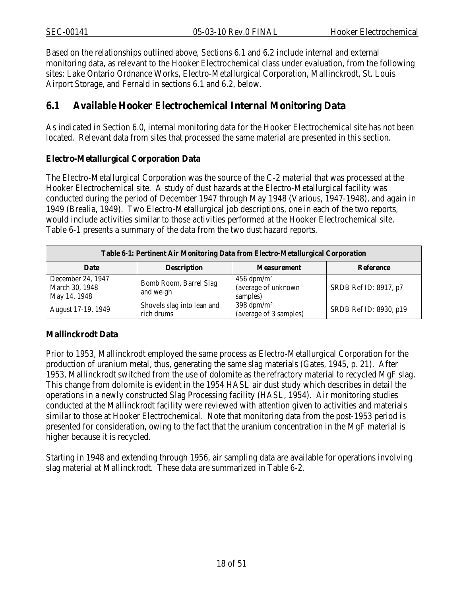Based on the relationships outlined above, Sections 6.1 and 6.2 include internal and external monitoring data, as relevant to the Hooker Electrochemical class under evaluation, from the following sites: Lake Ontario Ordnance Works, Electro-Metallurgical Corporation, Mallinckrodt, St. Louis Airport Storage, and Fernald in sections 6.1 and 6.2, below.

### <span id="page-17-0"></span>**6.1 Available Hooker Electrochemical Internal Monitoring Data**

As indicated in Section 6.0, internal monitoring data for the Hooker Electrochemical site has not been located. Relevant data from sites that processed the same material are presented in this section.

#### **Electro-Metallurgical Corporation Data**

The Electro-Metallurgical Corporation was the source of the C-2 material that was processed at the Hooker Electrochemical site. A study of dust hazards at the Electro-Metallurgical facility was conducted during the period of December 1947 through May 1948 (Various, 1947-1948), and again in 1949 (Brealia, 1949). Two Electro-Metallurgical job descriptions, one in each of the two reports, would include activities similar to those activities performed at the Hooker Electrochemical site. Table 6-1 presents a summary of the data from the two dust hazard reports.

| Table 6-1: Pertinent Air Monitoring Data from Electro-Metallurgical Corporation |                                          |                                                             |                        |  |  |  |
|---------------------------------------------------------------------------------|------------------------------------------|-------------------------------------------------------------|------------------------|--|--|--|
| Date                                                                            | <b>Description</b>                       | <b>Measurement</b>                                          | <b>Reference</b>       |  |  |  |
| December 24, 1947<br>March 30, 1948<br>May 14, 1948                             | Bomb Room, Barrel Slag<br>and weigh      | $456$ dpm/m <sup>3</sup><br>(average of unknown<br>samples) | SRDB Ref ID: 8917, p7  |  |  |  |
| August 17-19, 1949                                                              | Shovels slag into lean and<br>rich drums | 398 dpm/ $m^3$<br>(average of 3 samples)                    | SRDB Ref ID: 8930, p19 |  |  |  |

#### **Mallinckrodt Data**

Prior to 1953, Mallinckrodt employed the same process as Electro-Metallurgical Corporation for the production of uranium metal, thus, generating the same slag materials (Gates, 1945, p. 21). After 1953, Mallinckrodt switched from the use of dolomite as the refractory material to recycled MgF slag. This change from dolomite is evident in the 1954 HASL air dust study which describes in detail the operations in a newly constructed Slag Processing facility (HASL, 1954). Air monitoring studies conducted at the Mallinckrodt facility were reviewed with attention given to activities and materials similar to those at Hooker Electrochemical. Note that monitoring data from the post-1953 period is presented for consideration, owing to the fact that the uranium concentration in the MgF material is higher because it is recycled.

Starting in 1948 and extending through 1956, air sampling data are available for operations involving slag material at Mallinckrodt. These data are summarized in Table 6-2.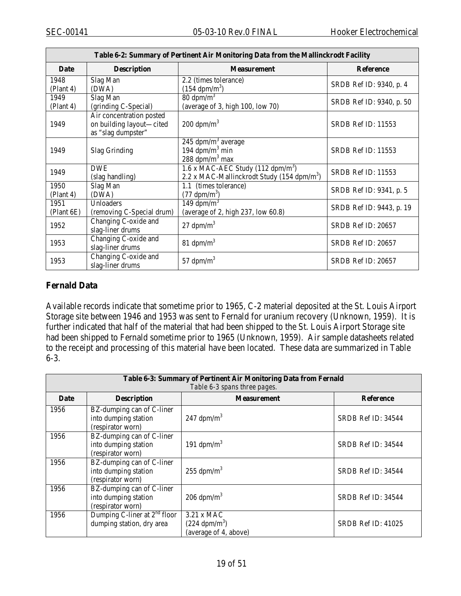| Table 6-2: Summary of Pertinent Air Monitoring Data from the Mallinckrodt Facility |                                                                            |                                                                                                       |                           |  |
|------------------------------------------------------------------------------------|----------------------------------------------------------------------------|-------------------------------------------------------------------------------------------------------|---------------------------|--|
| Date                                                                               | <b>Description</b>                                                         | <b>Measurement</b>                                                                                    | <b>Reference</b>          |  |
| 1948<br>(Plant 4)                                                                  | Slag Man<br>(DWA)                                                          | 2.2 (times tolerance)<br>$(154 \text{ dpm/m}^3)$                                                      | SRDB Ref ID: 9340, p. 4   |  |
| 1949<br>(Plant 4)                                                                  | Slag Man<br>(grinding C-Special)                                           | $80 \text{ dpm/m}^3$<br>(average of 3, high $100$ , low $70$ )                                        | SRDB Ref ID: 9340, p. 50  |  |
| 1949                                                                               | Air concentration posted<br>on building layout—cited<br>as "slag dumpster" | $200$ dpm/m <sup>3</sup>                                                                              | <b>SRDB Ref ID: 11553</b> |  |
| 1949                                                                               | Slag Grinding                                                              | 245 dpm/m <sup>3</sup> average<br>194 $dpm/m^3$ min<br>288 dpm/m <sup>3</sup> max                     | <b>SRDB Ref ID: 11553</b> |  |
| 1949                                                                               | <b>DWE</b><br>(slag handling)                                              | 1.6 x MAC-AEC Study $(112 \text{ dpm/m}^3)$<br>2.2 x MAC-Mallinckrodt Study (154 dpm/m <sup>3</sup> ) | <b>SRDB Ref ID: 11553</b> |  |
| 1950<br>(Plant 4)                                                                  | Slag Man<br>(DWA)                                                          | 1.1 (times tolerance)<br>$(77 \text{ dpm/m}^3)$                                                       | SRDB Ref ID: 9341, p. 5   |  |
| 1951<br>(Plant 6E)                                                                 | Unloaders<br>(removing C-Special drum)                                     | 149 dpm/ $m^3$<br>(average of 2, high 237, low 60.8)                                                  | SRDB Ref ID: 9443, p. 19  |  |
| 1952                                                                               | Changing C-oxide and<br>slag-liner drums                                   | $27$ dpm/m <sup>3</sup>                                                                               | SRDB Ref ID: 20657        |  |
| 1953                                                                               | Changing C-oxide and<br>slag-liner drums                                   | 81 dpm/ $m^3$                                                                                         | SRDB Ref ID: 20657        |  |
| 1953                                                                               | Changing C-oxide and<br>slag-liner drums                                   | 57 dpm/ $m^3$                                                                                         | <b>SRDB Ref ID: 20657</b> |  |

#### **Fernald Data**

Available records indicate that sometime prior to 1965, C-2 material deposited at the St. Louis Airport Storage site between 1946 and 1953 was sent to Fernald for uranium recovery (Unknown, 1959). It is further indicated that half of the material that had been shipped to the St. Louis Airport Storage site had been shipped to Fernald sometime prior to 1965 (Unknown, 1959). Air sample datasheets related to the receipt and processing of this material have been located. These data are summarized in Table 6-3.

| Table 6-3: Summary of Pertinent Air Monitoring Data from Fernald<br>Table 6-3 spans three pages. |                                                                        |                                                                       |                           |  |
|--------------------------------------------------------------------------------------------------|------------------------------------------------------------------------|-----------------------------------------------------------------------|---------------------------|--|
| Date                                                                                             | <b>Description</b>                                                     | <b>Measurement</b>                                                    | <b>Reference</b>          |  |
| 1956                                                                                             | BZ-dumping can of C-liner<br>into dumping station<br>(respirator worn) | 247 dpm/ $m3$                                                         | <b>SRDB Ref ID: 34544</b> |  |
| 1956                                                                                             | BZ-dumping can of C-liner<br>into dumping station<br>(respirator worn) | 191 dpm/ $m^3$                                                        | <b>SRDB Ref ID: 34544</b> |  |
| 1956                                                                                             | BZ-dumping can of C-liner<br>into dumping station<br>(respirator worn) | 255 dpm/ $m^3$                                                        | <b>SRDB Ref ID: 34544</b> |  |
| 1956                                                                                             | BZ-dumping can of C-liner<br>into dumping station<br>(respirator worn) | 206 dpm/ $m^3$                                                        | <b>SRDB Ref ID: 34544</b> |  |
| 1956                                                                                             | Dumping C-liner at $2nd$ floor<br>dumping station, dry area            | $3.21 \times MAC$<br>$(224 \text{ dpm/m}^3)$<br>(average of 4, above) | SRDB Ref ID: 41025        |  |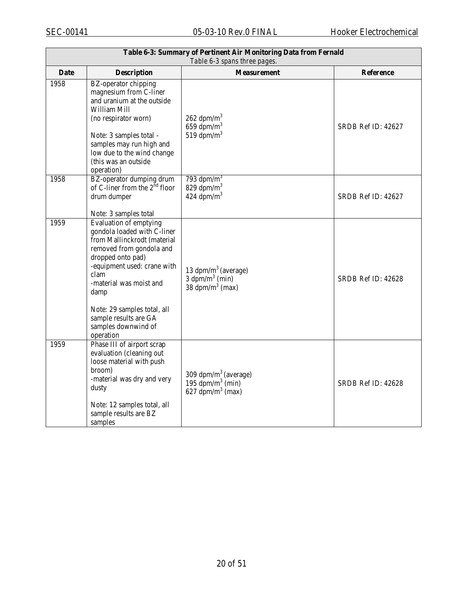| Table 6-3: Summary of Pertinent Air Monitoring Data from Fernald<br>Table 6-3 spans three pages. |                                                                                                                                                                                                                                                                                                             |                                                                                         |                    |
|--------------------------------------------------------------------------------------------------|-------------------------------------------------------------------------------------------------------------------------------------------------------------------------------------------------------------------------------------------------------------------------------------------------------------|-----------------------------------------------------------------------------------------|--------------------|
| Date                                                                                             | <b>Description</b>                                                                                                                                                                                                                                                                                          | <b>Measurement</b>                                                                      | <b>Reference</b>   |
| 1958                                                                                             | <b>BZ-operator chipping</b><br>magnesium from C-liner<br>and uranium at the outside<br>William Mill<br>(no respirator worn)<br>Note: 3 samples total -<br>samples may run high and<br>low due to the wind change<br>(this was an outside<br>operation)                                                      | $262$ dpm/m <sup>3</sup><br>659 dpm/ $m^3$<br>519 dpm/ $m^3$                            | SRDB Ref ID: 42627 |
| 1958                                                                                             | BZ-operator dumping drum<br>of C-liner from the 2 <sup>nd</sup> floor<br>drum dumper<br>Note: 3 samples total                                                                                                                                                                                               | $793$ dpm/m <sup>3</sup><br>829 dpm/ $m^3$<br>424 dpm/ $m^3$                            | SRDB Ref ID: 42627 |
| 1959                                                                                             | Evaluation of emptying<br>gondola loaded with C-liner<br>from Mallinckrodt (material<br>removed from gondola and<br>dropped onto pad)<br>-equipment used: crane with<br>clam<br>-material was moist and<br>damp<br>Note: 29 samples total, all<br>sample results are GA<br>samples downwind of<br>operation | 13 $dpm/m3$ (average)<br>$3 \text{ dpm/m}^3 \text{ (min)}$<br>38 $dpm/m^3$ (max)        | SRDB Ref ID: 42628 |
| 1959                                                                                             | Phase III of airport scrap<br>evaluation (cleaning out<br>loose material with push<br>broom)<br>-material was dry and very<br>dusty<br>Note: 12 samples total, all<br>sample results are BZ<br>samples                                                                                                      | 309 dpm/m <sup>3</sup> (average)<br>195 $dpm/m^3$ (min)<br>627 dpm/m <sup>3</sup> (max) | SRDB Ref ID: 42628 |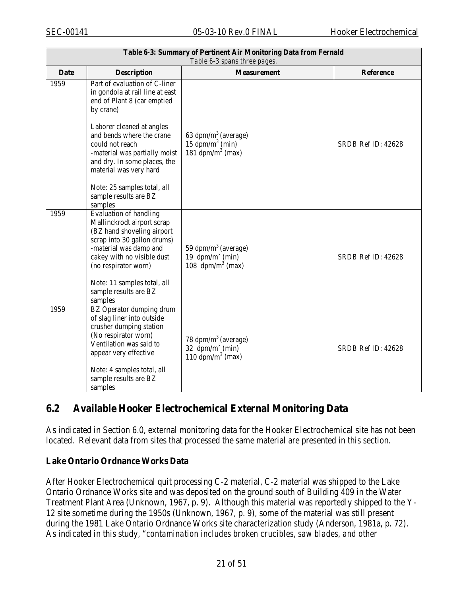|      | Table 6-3 spans three pages.<br><b>Date</b><br><b>Description</b><br>Reference<br><b>Measurement</b>                                                                                                                                                             |                                                                                                        |                    |  |  |  |  |
|------|------------------------------------------------------------------------------------------------------------------------------------------------------------------------------------------------------------------------------------------------------------------|--------------------------------------------------------------------------------------------------------|--------------------|--|--|--|--|
| 1959 | Part of evaluation of C-liner<br>in gondola at rail line at east<br>end of Plant 8 (car emptied<br>by crane)                                                                                                                                                     |                                                                                                        |                    |  |  |  |  |
|      | Laborer cleaned at angles<br>and bends where the crane<br>could not reach<br>-material was partially moist<br>and dry. In some places, the<br>material was very hard                                                                                             | 63 dpm/m <sup>3</sup> (average)<br>15 $dpm/m^3$ (min)<br>181 dpm/m <sup>3</sup> (max)                  | SRDB Ref ID: 42628 |  |  |  |  |
|      | Note: 25 samples total, all<br>sample results are BZ<br>samples                                                                                                                                                                                                  |                                                                                                        |                    |  |  |  |  |
| 1959 | <b>Evaluation of handling</b><br>Mallinckrodt airport scrap<br>(BZ hand shoveling airport<br>scrap into 30 gallon drums)<br>-material was damp and<br>cakey with no visible dust<br>(no respirator worn)<br>Note: 11 samples total, all<br>sample results are BZ | 59 dpm/m <sup>3</sup> (average)<br>19 $\text{dpm/m}^3$ (min)<br>108 dpm/m <sup>3</sup> (max)           | SRDB Ref ID: 42628 |  |  |  |  |
| 1959 | samples<br>BZ Operator dumping drum<br>of slag liner into outside<br>crusher dumping station<br>(No respirator worn)<br>Ventilation was said to<br>appear very effective<br>Note: 4 samples total, all<br>sample results are BZ<br>samples                       | 78 dpm/m <sup>3</sup> (average)<br>32 $\text{dpm/m}^3 \text{ (min)}$<br>$110$ dpm/m <sup>3</sup> (max) | SRDB Ref ID: 42628 |  |  |  |  |

## <span id="page-20-0"></span>**6.2 Available Hooker Electrochemical External Monitoring Data**

As indicated in Section 6.0, external monitoring data for the Hooker Electrochemical site has not been located. Relevant data from sites that processed the same material are presented in this section.

#### **Lake Ontario Ordnance Works Data**

After Hooker Electrochemical quit processing C-2 material, C-2 material was shipped to the Lake Ontario Ordnance Works site and was deposited on the ground south of Building 409 in the Water Treatment Plant Area (Unknown, 1967, p. 9). Although this material was reportedly shipped to the Y-12 site sometime during the 1950s (Unknown, 1967, p. 9), some of the material was still present during the 1981 Lake Ontario Ordnance Works site characterization study (Anderson, 1981a, p. 72). As indicated in this study, "*contamination includes broken crucibles, saw blades, and other*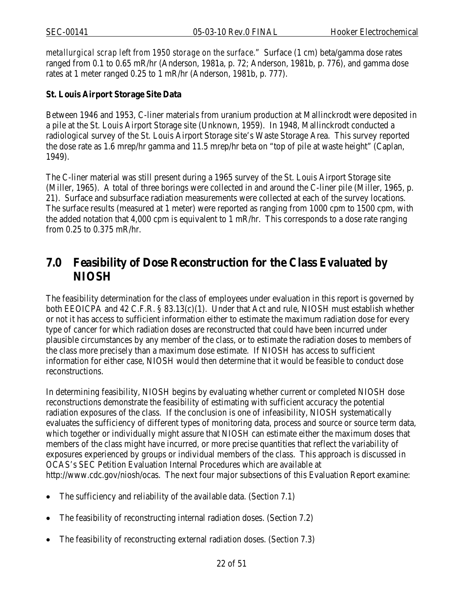*metallurgical scrap left from 1950 storage on the surface.*" Surface (1 cm) beta/gamma dose rates ranged from 0.1 to 0.65 mR/hr (Anderson, 1981a, p. 72; Anderson, 1981b, p. 776), and gamma dose rates at 1 meter ranged 0.25 to 1 mR/hr (Anderson, 1981b, p. 777).

#### **St. Louis Airport Storage Site Data**

Between 1946 and 1953, C-liner materials from uranium production at Mallinckrodt were deposited in a pile at the St. Louis Airport Storage site (Unknown, 1959). In 1948, Mallinckrodt conducted a radiological survey of the St. Louis Airport Storage site's Waste Storage Area. This survey reported the dose rate as 1.6 mrep/hr gamma and 11.5 mrep/hr beta on "top of pile at waste height" (Caplan, 1949).

The C-liner material was still present during a 1965 survey of the St. Louis Airport Storage site (Miller, 1965). A total of three borings were collected in and around the C-liner pile (Miller, 1965, p. 21). Surface and subsurface radiation measurements were collected at each of the survey locations. The surface results (measured at 1 meter) were reported as ranging from 1000 cpm to 1500 cpm, with the added notation that 4,000 cpm is equivalent to 1 mR/hr. This corresponds to a dose rate ranging from 0.25 to 0.375 mR/hr.

## <span id="page-21-0"></span>**7.0 Feasibility of Dose Reconstruction for the Class Evaluated by NIOSH**

The feasibility determination for the class of employees under evaluation in this report is governed by both EEOICPA and 42 C.F.R. § 83.13(c)(1). Under that Act and rule, NIOSH must establish whether or not it has access to sufficient information either to estimate the maximum radiation dose for every type of cancer for which radiation doses are reconstructed that could have been incurred under plausible circumstances by any member of the class, or to estimate the radiation doses to members of the class more precisely than a maximum dose estimate. If NIOSH has access to sufficient information for either case, NIOSH would then determine that it would be feasible to conduct dose reconstructions.

In determining feasibility, NIOSH begins by evaluating whether current or completed NIOSH dose reconstructions demonstrate the feasibility of estimating with sufficient accuracy the potential radiation exposures of the class. If the conclusion is one of infeasibility, NIOSH systematically evaluates the sufficiency of different types of monitoring data, process and source or source term data, which together or individually might assure that NIOSH can estimate either the maximum doses that members of the class might have incurred, or more precise quantities that reflect the variability of exposures experienced by groups or individual members of the class. This approach is discussed in OCAS's SEC Petition Evaluation Internal Procedures which are available at http://www.cdc.gov/niosh/ocas. The next four major subsections of this Evaluation Report examine:

- The sufficiency and reliability of the available data. (Section 7.1)
- The feasibility of reconstructing internal radiation doses. (Section 7.2)
- The feasibility of reconstructing external radiation doses. (Section 7.3)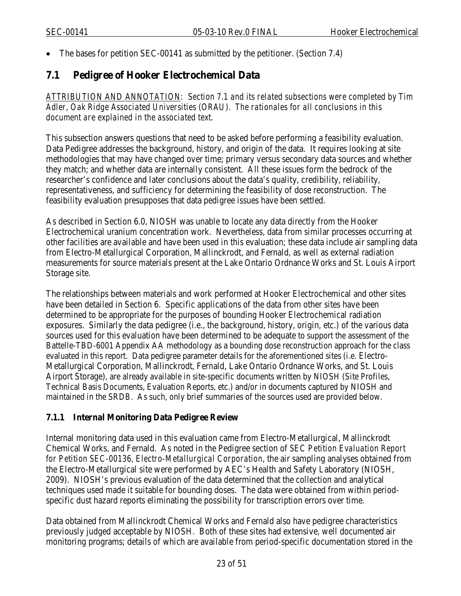• The bases for petition SEC-00141 as submitted by the petitioner. (Section 7.4)

## <span id="page-22-0"></span>**7.1 Pedigree of Hooker Electrochemical Data**

*ATTRIBUTION AND ANNOTATION: Section 7.1 and its related subsections were completed by Tim Adler, Oak Ridge Associated Universities (ORAU). The rationales for all conclusions in this document are explained in the associated text.*

This subsection answers questions that need to be asked before performing a feasibility evaluation. Data Pedigree addresses the background, history, and origin of the data. It requires looking at site methodologies that may have changed over time; primary versus secondary data sources and whether they match; and whether data are internally consistent. All these issues form the bedrock of the researcher's confidence and later conclusions about the data's quality, credibility, reliability, representativeness, and sufficiency for determining the feasibility of dose reconstruction. The feasibility evaluation presupposes that data pedigree issues have been settled.

As described in Section 6.0, NIOSH was unable to locate any data directly from the Hooker Electrochemical uranium concentration work. Nevertheless, data from similar processes occurring at other facilities are available and have been used in this evaluation; these data include air sampling data from Electro-Metallurgical Corporation, Mallinckrodt, and Fernald, as well as external radiation measurements for source materials present at the Lake Ontario Ordnance Works and St. Louis Airport Storage site.

The relationships between materials and work performed at Hooker Electrochemical and other sites have been detailed in Section 6. Specific applications of the data from other sites have been determined to be appropriate for the purposes of bounding Hooker Electrochemical radiation exposures. Similarly the data pedigree (i.e., the background, history, origin, etc.) of the various data sources used for this evaluation have been determined to be adequate to support the assessment of the Battelle-TBD-6001 Appendix AA methodology as a bounding dose reconstruction approach for the class evaluated in this report. Data pedigree parameter details for the aforementioned sites (i.e. Electro-Metallurgical Corporation, Mallinckrodt, Fernald, Lake Ontario Ordnance Works, and St. Louis Airport Storage), are already available in site-specific documents written by NIOSH (Site Profiles, Technical Basis Documents, Evaluation Reports, etc.) and/or in documents captured by NIOSH and maintained in the SRDB. As such, only brief summaries of the sources used are provided below.

#### <span id="page-22-1"></span>**7.1.1 Internal Monitoring Data Pedigree Review**

Internal monitoring data used in this evaluation came from Electro-Metallurgical, Mallinckrodt Chemical Works, and Fernald. As noted in the Pedigree section of *SEC Petition Evaluation Report for Petition SEC-00136, Electro-Metallurgical Corporation*, the air sampling analyses obtained from the Electro-Metallurgical site were performed by AEC's Health and Safety Laboratory (NIOSH, 2009). NIOSH's previous evaluation of the data determined that the collection and analytical techniques used made it suitable for bounding doses. The data were obtained from within periodspecific dust hazard reports eliminating the possibility for transcription errors over time.

Data obtained from Mallinckrodt Chemical Works and Fernald also have pedigree characteristics previously judged acceptable by NIOSH. Both of these sites had extensive, well documented air monitoring programs; details of which are available from period-specific documentation stored in the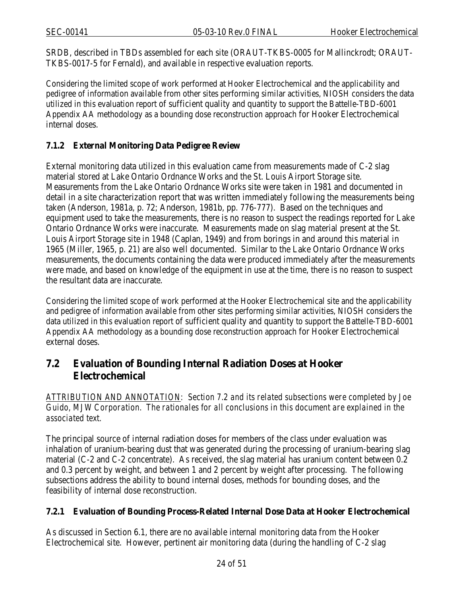SRDB, described in TBDs assembled for each site (ORAUT-TKBS-0005 for Mallinckrodt; ORAUT-TKBS-0017-5 for Fernald), and available in respective evaluation reports.

Considering the limited scope of work performed at Hooker Electrochemical and the applicability and pedigree of information available from other sites performing similar activities, NIOSH considers the data utilized in this evaluation report of sufficient quality and quantity to support the Battelle-TBD-6001 Appendix AA methodology as a bounding dose reconstruction approach for Hooker Electrochemical internal doses.

#### <span id="page-23-0"></span>**7.1.2 External Monitoring Data Pedigree Review**

External monitoring data utilized in this evaluation came from measurements made of C-2 slag material stored at Lake Ontario Ordnance Works and the St. Louis Airport Storage site. Measurements from the Lake Ontario Ordnance Works site were taken in 1981 and documented in detail in a site characterization report that was written immediately following the measurements being taken (Anderson, 1981a, p. 72; Anderson, 1981b, pp. 776-777). Based on the techniques and equipment used to take the measurements, there is no reason to suspect the readings reported for Lake Ontario Ordnance Works were inaccurate. Measurements made on slag material present at the St. Louis Airport Storage site in 1948 (Caplan, 1949) and from borings in and around this material in 1965 (Miller, 1965, p. 21) are also well documented. Similar to the Lake Ontario Ordnance Works measurements, the documents containing the data were produced immediately after the measurements were made, and based on knowledge of the equipment in use at the time, there is no reason to suspect the resultant data are inaccurate.

Considering the limited scope of work performed at the Hooker Electrochemical site and the applicability and pedigree of information available from other sites performing similar activities, NIOSH considers the data utilized in this evaluation report of sufficient quality and quantity to support the Battelle-TBD-6001 Appendix AA methodology as a bounding dose reconstruction approach for Hooker Electrochemical external doses.

### <span id="page-23-1"></span>**7.2 Evaluation of Bounding Internal Radiation Doses at Hooker Electrochemical**

*ATTRIBUTION AND ANNOTATION: Section 7.2 and its related subsections were completed by Joe Guido, MJW Corporation. The rationales for all conclusions in this document are explained in the associated text.*

The principal source of internal radiation doses for members of the class under evaluation was inhalation of uranium-bearing dust that was generated during the processing of uranium-bearing slag material (C-2 and C-2 concentrate). As received, the slag material has uranium content between 0.2 and 0.3 percent by weight, and between 1 and 2 percent by weight after processing. The following subsections address the ability to bound internal doses, methods for bounding doses, and the feasibility of internal dose reconstruction.

#### <span id="page-23-2"></span>**7.2.1 Evaluation of Bounding Process-Related Internal Dose Data at Hooker Electrochemical**

As discussed in Section 6.1, there are no available internal monitoring data from the Hooker Electrochemical site. However, pertinent air monitoring data (during the handling of C-2 slag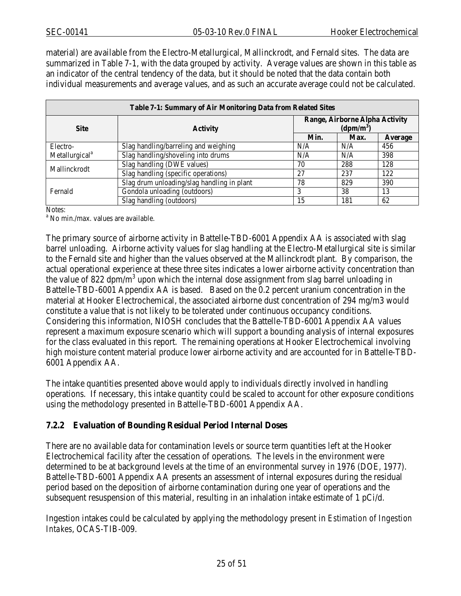material) are available from the Electro-Metallurgical, Mallinckrodt, and Fernald sites. The data are summarized in Table 7-1, with the data grouped by activity. Average values are shown in this table as an indicator of the central tendency of the data, but it should be noted that the data contain both individual measurements and average values, and as such an accurate average could not be calculated.

| Table 7-1: Summary of Air Monitoring Data from Related Sites |                                            |      |                                                         |         |  |  |
|--------------------------------------------------------------|--------------------------------------------|------|---------------------------------------------------------|---------|--|--|
| <b>Site</b>                                                  | <b>Activity</b>                            |      | Range, Airborne Alpha Activity<br>(dpm/m <sup>3</sup> ) |         |  |  |
|                                                              |                                            | Min. | Max.                                                    | Average |  |  |
| Electro-                                                     | Slag handling/barreling and weighing       | N/A  | N/A                                                     | 456     |  |  |
| Metallurgical <sup>a</sup>                                   | Slag handling/shoveling into drums         | N/A  | N/A                                                     | 398     |  |  |
| Mallinckrodt                                                 | Slag handling (DWE values)                 | 70   | 288                                                     | 128     |  |  |
|                                                              | Slag handling (specific operations)        | 27   | 237                                                     | 122     |  |  |
|                                                              | Slag drum unloading/slag handling in plant | 78   | 829                                                     | 390     |  |  |
| Fernald                                                      | Gondola unloading (outdoors)               | 3    | 38                                                      | 13      |  |  |
|                                                              | Slag handling (outdoors)                   | 15   | 181                                                     | 62      |  |  |

Notes:

<sup>a</sup> No min./max. values are available.

The primary source of airborne activity in Battelle-TBD-6001 Appendix AA is associated with slag barrel unloading. Airborne activity values for slag handling at the Electro-Metallurgical site is similar to the Fernald site and higher than the values observed at the Mallinckrodt plant. By comparison, the actual operational experience at these three sites indicates a lower airborne activity concentration than the value of 822 dpm/m<sup>3</sup> upon which the internal dose assignment from slag barrel unloading in Battelle-TBD-6001 Appendix AA is based. Based on the 0.2 percent uranium concentration in the material at Hooker Electrochemical, the associated airborne dust concentration of 294 mg/m3 would constitute a value that is not likely to be tolerated under continuous occupancy conditions. Considering this information, NIOSH concludes that the Battelle-TBD-6001 Appendix AA values represent a maximum exposure scenario which will support a bounding analysis of internal exposures for the class evaluated in this report. The remaining operations at Hooker Electrochemical involving high moisture content material produce lower airborne activity and are accounted for in Battelle-TBD-6001 Appendix AA.

The intake quantities presented above would apply to individuals directly involved in handling operations. If necessary, this intake quantity could be scaled to account for other exposure conditions using the methodology presented in Battelle-TBD-6001 Appendix AA.

#### <span id="page-24-0"></span>**7.2.2 Evaluation of Bounding Residual Period Internal Doses**

There are no available data for contamination levels or source term quantities left at the Hooker Electrochemical facility after the cessation of operations. The levels in the environment were determined to be at background levels at the time of an environmental survey in 1976 (DOE, 1977). Battelle-TBD-6001 Appendix AA presents an assessment of internal exposures during the residual period based on the deposition of airborne contamination during one year of operations and the subsequent resuspension of this material, resulting in an inhalation intake estimate of 1 pCi/d.

Ingestion intakes could be calculated by applying the methodology present in *Estimation of Ingestion Intakes*, OCAS-TIB-009.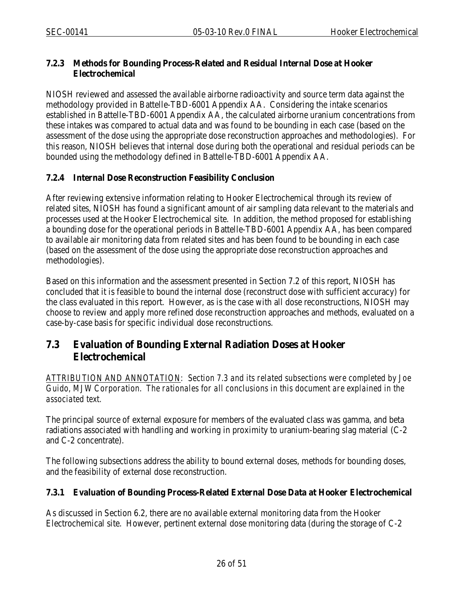#### <span id="page-25-0"></span>**7.2.3 Methods for Bounding Process-Related and Residual Internal Dose at Hooker Electrochemical**

NIOSH reviewed and assessed the available airborne radioactivity and source term data against the methodology provided in Battelle-TBD-6001 Appendix AA. Considering the intake scenarios established in Battelle-TBD-6001 Appendix AA, the calculated airborne uranium concentrations from these intakes was compared to actual data and was found to be bounding in each case (based on the assessment of the dose using the appropriate dose reconstruction approaches and methodologies). For this reason, NIOSH believes that internal dose during both the operational and residual periods can be bounded using the methodology defined in Battelle-TBD-6001 Appendix AA.

#### <span id="page-25-1"></span>**7.2.4 Internal Dose Reconstruction Feasibility Conclusion**

After reviewing extensive information relating to Hooker Electrochemical through its review of related sites, NIOSH has found a significant amount of air sampling data relevant to the materials and processes used at the Hooker Electrochemical site. In addition, the method proposed for establishing a bounding dose for the operational periods in Battelle-TBD-6001 Appendix AA, has been compared to available air monitoring data from related sites and has been found to be bounding in each case (based on the assessment of the dose using the appropriate dose reconstruction approaches and methodologies).

Based on this information and the assessment presented in Section 7.2 of this report, NIOSH has concluded that it is feasible to bound the internal dose (reconstruct dose with sufficient accuracy) for the class evaluated in this report. However, as is the case with all dose reconstructions, NIOSH may choose to review and apply more refined dose reconstruction approaches and methods, evaluated on a case-by-case basis for specific individual dose reconstructions.

## <span id="page-25-2"></span>**7.3 Evaluation of Bounding External Radiation Doses at Hooker Electrochemical**

*ATTRIBUTION AND ANNOTATION: Section 7.3 and its related subsections were completed by Joe Guido, MJW Corporation. The rationales for all conclusions in this document are explained in the associated text.*

The principal source of external exposure for members of the evaluated class was gamma, and beta radiations associated with handling and working in proximity to uranium-bearing slag material (C-2 and C-2 concentrate).

The following subsections address the ability to bound external doses, methods for bounding doses, and the feasibility of external dose reconstruction.

#### <span id="page-25-3"></span>**7.3.1 Evaluation of Bounding Process-Related External Dose Data at Hooker Electrochemical**

As discussed in Section 6.2, there are no available external monitoring data from the Hooker Electrochemical site. However, pertinent external dose monitoring data (during the storage of C-2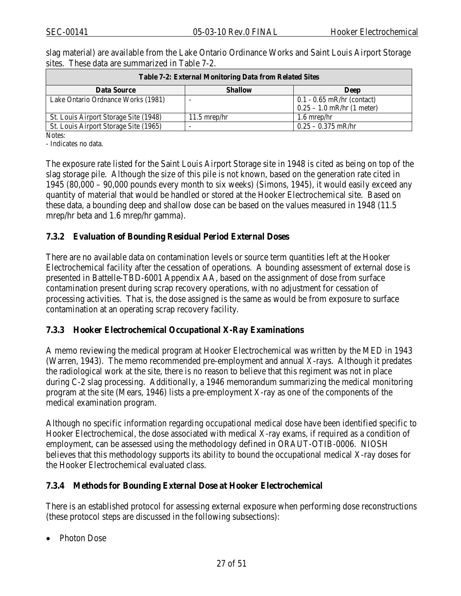**Table 7-2: External Monitoring Data from Related Sites Data Source Shallow Deep** Lake Ontario Ordnance Works (1981) - 0.1 - 0.65 mR/hr (contact) 0.25 – 1.0 mR/hr (1 meter) St. Louis Airport Storage Site (1948) 11.5 mrep/hr 1.6 mrep/hr St. Louis Airport Storage Site (1965)  $\vert$  - 0.25 – 0.375 mR/hr

slag material) are available from the Lake Ontario Ordinance Works and Saint Louis Airport Storage sites. These data are summarized in Table 7-2.

Notes:

- Indicates no data.

The exposure rate listed for the Saint Louis Airport Storage site in 1948 is cited as being on top of the slag storage pile. Although the size of this pile is not known, based on the generation rate cited in 1945 (80,000 – 90,000 pounds every month to six weeks) (Simons, 1945), it would easily exceed any quantity of material that would be handled or stored at the Hooker Electrochemical site. Based on these data, a bounding deep and shallow dose can be based on the values measured in 1948 (11.5 mrep/hr beta and 1.6 mrep/hr gamma).

#### <span id="page-26-0"></span>**7.3.2 Evaluation of Bounding Residual Period External Doses**

There are no available data on contamination levels or source term quantities left at the Hooker Electrochemical facility after the cessation of operations. A bounding assessment of external dose is presented in Battelle-TBD-6001 Appendix AA, based on the assignment of dose from surface contamination present during scrap recovery operations, with no adjustment for cessation of processing activities. That is, the dose assigned is the same as would be from exposure to surface contamination at an operating scrap recovery facility.

#### <span id="page-26-1"></span>**7.3.3 Hooker Electrochemical Occupational X-Ray Examinations**

A memo reviewing the medical program at Hooker Electrochemical was written by the MED in 1943 (Warren, 1943). The memo recommended pre-employment and annual X-rays. Although it predates the radiological work at the site, there is no reason to believe that this regiment was not in place during C-2 slag processing. Additionally, a 1946 memorandum summarizing the medical monitoring program at the site (Mears, 1946) lists a pre-employment X-ray as one of the components of the medical examination program.

Although no specific information regarding occupational medical dose have been identified specific to Hooker Electrochemical, the dose associated with medical X-ray exams, if required as a condition of employment, can be assessed using the methodology defined in ORAUT-OTIB-0006. NIOSH believes that this methodology supports its ability to bound the occupational medical X-ray doses for the Hooker Electrochemical evaluated class.

#### <span id="page-26-2"></span>**7.3.4 Methods for Bounding External Dose at Hooker Electrochemical**

There is an established protocol for assessing external exposure when performing dose reconstructions (these protocol steps are discussed in the following subsections):

Photon Dose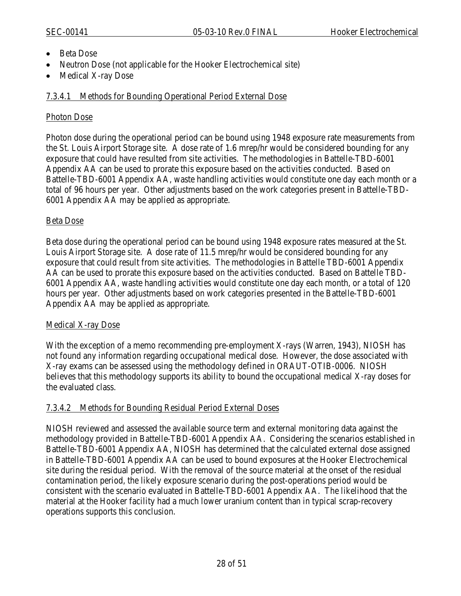- Beta Dose
- Neutron Dose (not applicable for the Hooker Electrochemical site)
- Medical X-ray Dose

#### <span id="page-27-0"></span>7.3.4.1 Methods for Bounding Operational Period External Dose

#### Photon Dose

Photon dose during the operational period can be bound using 1948 exposure rate measurements from the St. Louis Airport Storage site. A dose rate of 1.6 mrep/hr would be considered bounding for any exposure that could have resulted from site activities. The methodologies in Battelle-TBD-6001 Appendix AA can be used to prorate this exposure based on the activities conducted. Based on Battelle-TBD-6001 Appendix AA, waste handling activities would constitute one day each month or a total of 96 hours per year. Other adjustments based on the work categories present in Battelle-TBD-6001 Appendix AA may be applied as appropriate.

#### Beta Dose

Beta dose during the operational period can be bound using 1948 exposure rates measured at the St. Louis Airport Storage site. A dose rate of 11.5 mrep/hr would be considered bounding for any exposure that could result from site activities. The methodologies in Battelle TBD-6001 Appendix AA can be used to prorate this exposure based on the activities conducted. Based on Battelle TBD-6001 Appendix AA, waste handling activities would constitute one day each month, or a total of 120 hours per year. Other adjustments based on work categories presented in the Battelle-TBD-6001 Appendix AA may be applied as appropriate.

#### Medical X-ray Dose

With the exception of a memo recommending pre-employment X-rays (Warren, 1943), NIOSH has not found any information regarding occupational medical dose. However, the dose associated with X-ray exams can be assessed using the methodology defined in ORAUT-OTIB-0006. NIOSH believes that this methodology supports its ability to bound the occupational medical X-ray doses for the evaluated class.

#### <span id="page-27-1"></span>7.3.4.2 Methods for Bounding Residual Period External Doses

NIOSH reviewed and assessed the available source term and external monitoring data against the methodology provided in Battelle-TBD-6001 Appendix AA. Considering the scenarios established in Battelle-TBD-6001 Appendix AA, NIOSH has determined that the calculated external dose assigned in Battelle-TBD-6001 Appendix AA can be used to bound exposures at the Hooker Electrochemical site during the residual period. With the removal of the source material at the onset of the residual contamination period, the likely exposure scenario during the post-operations period would be consistent with the scenario evaluated in Battelle-TBD-6001 Appendix AA. The likelihood that the material at the Hooker facility had a much lower uranium content than in typical scrap-recovery operations supports this conclusion.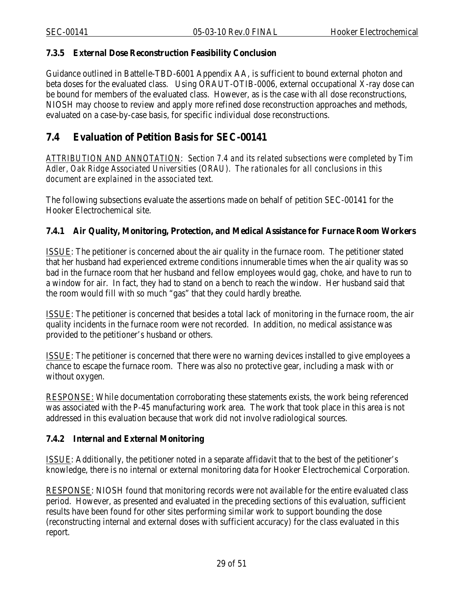#### <span id="page-28-0"></span>**7.3.5 External Dose Reconstruction Feasibility Conclusion**

Guidance outlined in Battelle-TBD-6001 Appendix AA, is sufficient to bound external photon and beta doses for the evaluated class. Using ORAUT-OTIB-0006, external occupational X-ray dose can be bound for members of the evaluated class. However, as is the case with all dose reconstructions, NIOSH may choose to review and apply more refined dose reconstruction approaches and methods, evaluated on a case-by-case basis, for specific individual dose reconstructions.

### <span id="page-28-1"></span>**7.4 Evaluation of Petition Basis for SEC-00141**

*ATTRIBUTION AND ANNOTATION: Section 7.4 and its related subsections were completed by Tim Adler, Oak Ridge Associated Universities (ORAU). The rationales for all conclusions in this document are explained in the associated text.*

The following subsections evaluate the assertions made on behalf of petition SEC-00141 for the Hooker Electrochemical site.

#### <span id="page-28-2"></span>**7.4.1 Air Quality, Monitoring, Protection, and Medical Assistance for Furnace Room Workers**

ISSUE: The petitioner is concerned about the air quality in the furnace room. The petitioner stated that her husband had experienced extreme conditions innumerable times when the air quality was so bad in the furnace room that her husband and fellow employees would gag, choke, and have to run to a window for air. In fact, they had to stand on a bench to reach the window. Her husband said that the room would fill with so much "gas" that they could hardly breathe.

ISSUE: The petitioner is concerned that besides a total lack of monitoring in the furnace room, the air quality incidents in the furnace room were not recorded. In addition, no medical assistance was provided to the petitioner's husband or others.

ISSUE: The petitioner is concerned that there were no warning devices installed to give employees a chance to escape the furnace room. There was also no protective gear, including a mask with or without oxygen.

RESPONSE: While documentation corroborating these statements exists, the work being referenced was associated with the P-45 manufacturing work area. The work that took place in this area is not addressed in this evaluation because that work did not involve radiological sources.

#### <span id="page-28-3"></span>**7.4.2 Internal and External Monitoring**

ISSUE: Additionally, the petitioner noted in a separate affidavit that to the best of the petitioner's knowledge, there is no internal or external monitoring data for Hooker Electrochemical Corporation.

RESPONSE: NIOSH found that monitoring records were not available for the entire evaluated class period. However, as presented and evaluated in the preceding sections of this evaluation, sufficient results have been found for other sites performing similar work to support bounding the dose (reconstructing internal and external doses with sufficient accuracy) for the class evaluated in this report.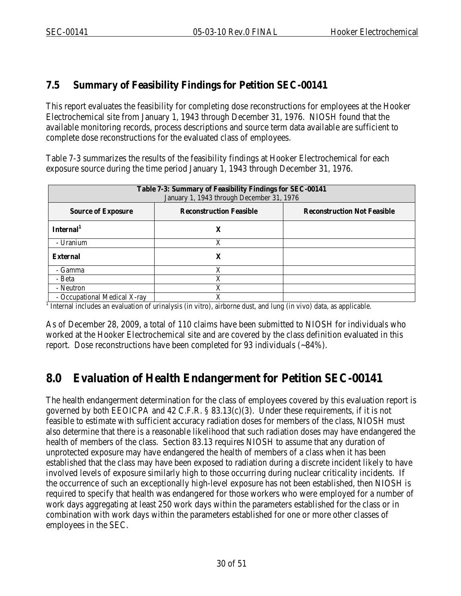### <span id="page-29-0"></span>**7.5 Summary of Feasibility Findings for Petition SEC-00141**

This report evaluates the feasibility for completing dose reconstructions for employees at the Hooker Electrochemical site from January 1, 1943 through December 31, 1976. NIOSH found that the available monitoring records, process descriptions and source term data available are sufficient to complete dose reconstructions for the evaluated class of employees.

Table 7-3 summarizes the results of the feasibility findings at Hooker Electrochemical for each exposure source during the time period January 1, 1943 through December 31, 1976.

| Table 7-3: Summary of Feasibility Findings for SEC-00141<br>January 1, 1943 through December 31, 1976 |                                |                                    |  |  |  |
|-------------------------------------------------------------------------------------------------------|--------------------------------|------------------------------------|--|--|--|
| <b>Source of Exposure</b>                                                                             | <b>Reconstruction Feasible</b> | <b>Reconstruction Not Feasible</b> |  |  |  |
| Internal <sup>1</sup>                                                                                 | X                              |                                    |  |  |  |
| - Uranium                                                                                             | X                              |                                    |  |  |  |
| <b>External</b>                                                                                       | X                              |                                    |  |  |  |
| - Gamma                                                                                               | X                              |                                    |  |  |  |
| - Beta                                                                                                | X                              |                                    |  |  |  |
| - Neutron                                                                                             | X                              |                                    |  |  |  |
| - Occupational Medical X-ray                                                                          |                                |                                    |  |  |  |

 $\frac{1}{\pi}$  Internal includes an evaluation of urinalysis (in vitro), airborne dust, and lung (in vivo) data, as applicable.

As of December 28, 2009, a total of 110 claims have been submitted to NIOSH for individuals who worked at the Hooker Electrochemical site and are covered by the class definition evaluated in this report. Dose reconstructions have been completed for 93 individuals (~84%).

## <span id="page-29-1"></span>**8.0 Evaluation of Health Endangerment for Petition SEC-00141**

The health endangerment determination for the class of employees covered by this evaluation report is governed by both EEOICPA and 42 C.F.R. § 83.13(c)(3). Under these requirements, if it is not feasible to estimate with sufficient accuracy radiation doses for members of the class, NIOSH must also determine that there is a reasonable likelihood that such radiation doses may have endangered the health of members of the class. Section 83.13 requires NIOSH to assume that any duration of unprotected exposure may have endangered the health of members of a class when it has been established that the class may have been exposed to radiation during a discrete incident likely to have involved levels of exposure similarly high to those occurring during nuclear criticality incidents. If the occurrence of such an exceptionally high-level exposure has not been established, then NIOSH is required to specify that health was endangered for those workers who were employed for a number of work days aggregating at least 250 work days within the parameters established for the class or in combination with work days within the parameters established for one or more other classes of employees in the SEC.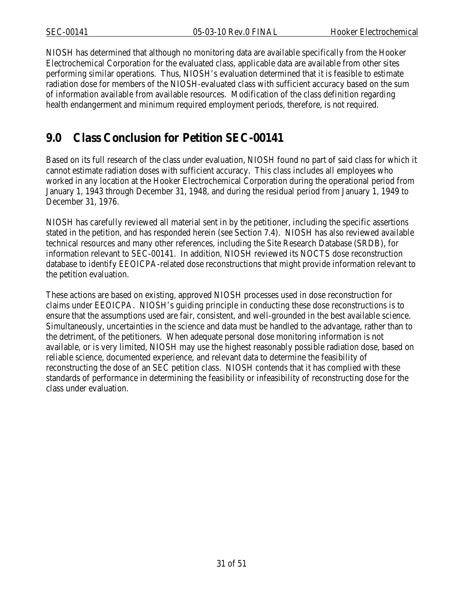NIOSH has determined that although no monitoring data are available specifically from the Hooker Electrochemical Corporation for the evaluated class, applicable data are available from other sites performing similar operations. Thus, NIOSH's evaluation determined that it is feasible to estimate radiation dose for members of the NIOSH-evaluated class with sufficient accuracy based on the sum of information available from available resources. Modification of the class definition regarding health endangerment and minimum required employment periods, therefore, is not required.

## <span id="page-30-0"></span>**9.0 Class Conclusion for Petition SEC-00141**

Based on its full research of the class under evaluation, NIOSH found no part of said class for which it cannot estimate radiation doses with sufficient accuracy. This class includes all employees who worked in any location at the Hooker Electrochemical Corporation during the operational period from January 1, 1943 through December 31, 1948, and during the residual period from January 1, 1949 to December 31, 1976.

NIOSH has carefully reviewed all material sent in by the petitioner, including the specific assertions stated in the petition, and has responded herein (see Section 7.4). NIOSH has also reviewed available technical resources and many other references, including the Site Research Database (SRDB), for information relevant to SEC-00141. In addition, NIOSH reviewed its NOCTS dose reconstruction database to identify EEOICPA-related dose reconstructions that might provide information relevant to the petition evaluation.

These actions are based on existing, approved NIOSH processes used in dose reconstruction for claims under EEOICPA. NIOSH's guiding principle in conducting these dose reconstructions is to ensure that the assumptions used are fair, consistent, and well-grounded in the best available science. Simultaneously, uncertainties in the science and data must be handled to the advantage, rather than to the detriment, of the petitioners. When adequate personal dose monitoring information is not available, or is very limited, NIOSH may use the highest reasonably possible radiation dose, based on reliable science, documented experience, and relevant data to determine the feasibility of reconstructing the dose of an SEC petition class. NIOSH contends that it has complied with these standards of performance in determining the feasibility or infeasibility of reconstructing dose for the class under evaluation.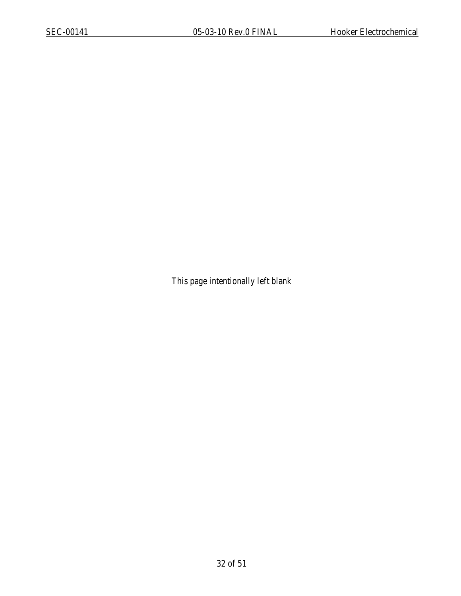This page intentionally left blank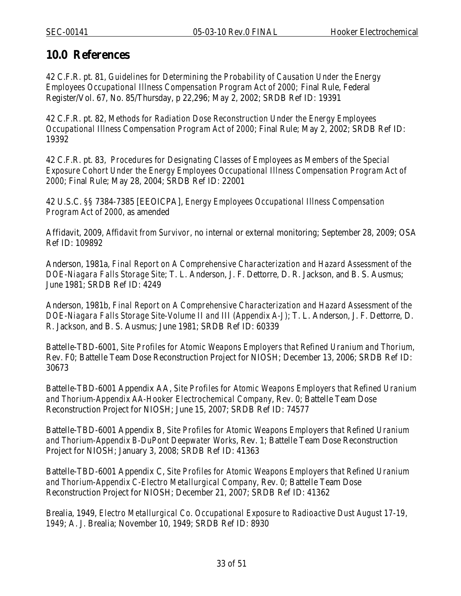## <span id="page-32-0"></span>**10.0 References**

42 C.F.R. pt. 81, *Guidelines for Determining the Probability of Causation Under the Energy Employees Occupational Illness Compensation Program Act of 2000;* Final Rule, Federal Register/Vol. 67, No. 85/Thursday, p 22,296; May 2, 2002; SRDB Ref ID: 19391

42 C.F.R. pt. 82, *Methods for Radiation Dose Reconstruction Under the Energy Employees Occupational Illness Compensation Program Act of 2000*; Final Rule; May 2, 2002; SRDB Ref ID: 19392

42 C.F.R. pt. 83, *Procedures for Designating Classes of Employees as Members of the Special Exposure Cohort Under the Energy Employees Occupational Illness Compensation Program Act of 2000*; Final Rule; May 28, 2004; SRDB Ref ID: 22001

42 U.S.C. §§ 7384-7385 [EEOICPA], *Energy Employees Occupational Illness Compensation Program Act of 2000*, as amended

Affidavit, 2009, *Affidavit from Survivor*, no internal or external monitoring; September 28, 2009; OSA Ref ID: 109892

Anderson, 1981a, *Final Report on A Comprehensive Characterization and Hazard Assessment of the DOE-Niagara Falls Storage Site*; T. L. Anderson, J. F. Dettorre, D. R. Jackson, and B. S. Ausmus; June 1981; SRDB Ref ID: 4249

Anderson, 1981b, *Final Report on A Comprehensive Characterization and Hazard Assessment of the DOE-Niagara Falls Storage Site-Volume II and III (Appendix A-J)*; T. L. Anderson, J. F. Dettorre, D. R. Jackson, and B. S. Ausmus; June 1981; SRDB Ref ID: 60339

Battelle-TBD-6001, *Site Profiles for Atomic Weapons Employers that Refined Uranium and Thorium*, Rev. F0; Battelle Team Dose Reconstruction Project for NIOSH; December 13, 2006; SRDB Ref ID: 30673

Battelle-TBD-6001 Appendix AA, *Site Profiles for Atomic Weapons Employers that Refined Uranium and Thorium-Appendix AA-Hooker Electrochemical Company*, Rev. 0; Battelle Team Dose Reconstruction Project for NIOSH; June 15, 2007; SRDB Ref ID: 74577

Battelle-TBD-6001 Appendix B, *Site Profiles for Atomic Weapons Employers that Refined Uranium and Thorium-Appendix B-DuPont Deepwater Works*, Rev. 1; Battelle Team Dose Reconstruction Project for NIOSH; January 3, 2008; SRDB Ref ID: 41363

Battelle-TBD-6001 Appendix C, *Site Profiles for Atomic Weapons Employers that Refined Uranium and Thorium-Appendix C-Electro Metallurgical Company*, Rev. 0; Battelle Team Dose Reconstruction Project for NIOSH; December 21, 2007; SRDB Ref ID: 41362

Brealia, 1949, *Electro Metallurgical Co. Occupational Exposure to Radioactive Dust August 17-19, 1949*; A. J. Brealia; November 10, 1949; SRDB Ref ID: 8930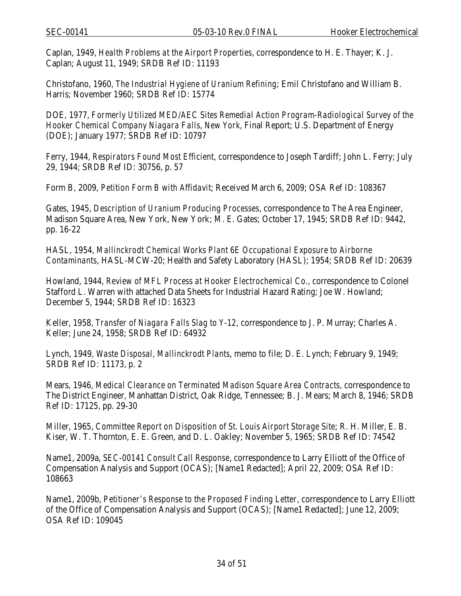Caplan, 1949, *Health Problems at the Airport Properties*, correspondence to H. E. Thayer; K. J. Caplan; August 11, 1949; SRDB Ref ID: 11193

Christofano, 1960, *The Industrial Hygiene of Uranium Refining*; Emil Christofano and William B. Harris; November 1960; SRDB Ref ID: 15774

DOE, 1977, *Formerly Utilized MED/AEC Sites Remedial Action Program-Radiological Survey of the Hooker Chemical Company Niagara Falls, New York*, Final Report; U.S. Department of Energy (DOE); January 1977; SRDB Ref ID: 10797

Ferry, 1944, *Respirators Found Most Efficient*, correspondence to Joseph Tardiff; John L. Ferry; July 29, 1944; SRDB Ref ID: 30756, p. 57

Form B, 2009, *Petition Form B with Affidavit*; Received March 6, 2009; OSA Ref ID: 108367

Gates, 1945, *Description of Uranium Producing Processes*, correspondence to The Area Engineer, Madison Square Area, New York, New York; M. E. Gates; October 17, 1945; SRDB Ref ID: 9442, pp. 16-22

HASL, 1954, *Mallinckrodt Chemical Works Plant 6E Occupational Exposure to Airborne Contaminants*, HASL-MCW-20; Health and Safety Laboratory (HASL); 1954; SRDB Ref ID: 20639

Howland, 1944, *Review of MFL Process at Hooker Electrochemical Co.*, correspondence to Colonel Stafford L. Warren with attached Data Sheets for Industrial Hazard Rating; Joe W. Howland; December 5, 1944; SRDB Ref ID: 16323

Keller, 1958, *Transfer of Niagara Falls Slag to Y-12*, correspondence to J. P. Murray; Charles A. Keller; June 24, 1958; SRDB Ref ID: 64932

Lynch, 1949, *Waste Disposal, Mallinckrodt Plants*, memo to file; D. E. Lynch; February 9, 1949; SRDB Ref ID: 11173, p. 2

Mears, 1946, *Medical Clearance on Terminated Madison Square Area Contracts*, correspondence to The District Engineer, Manhattan District, Oak Ridge, Tennessee; B. J. Mears; March 8, 1946; SRDB Ref ID: 17125, pp. 29-30

Miller, 1965, *Committee Report on Disposition of St. Louis Airport Storage Site*; R. H. Miller, E. B. Kiser, W. T. Thornton, E. E. Green, and D. L. Oakley; November 5, 1965; SRDB Ref ID: 74542

Name1, 2009a, *SEC-00141 Consult Call Response*, correspondence to Larry Elliott of the Office of Compensation Analysis and Support (OCAS); [Name1 Redacted]; April 22, 2009; OSA Ref ID: 108663

Name1, 2009b, *Petitioner's Response to the Proposed Finding Letter*, correspondence to Larry Elliott of the Office of Compensation Analysis and Support (OCAS); [Name1 Redacted]; June 12, 2009; OSA Ref ID: 109045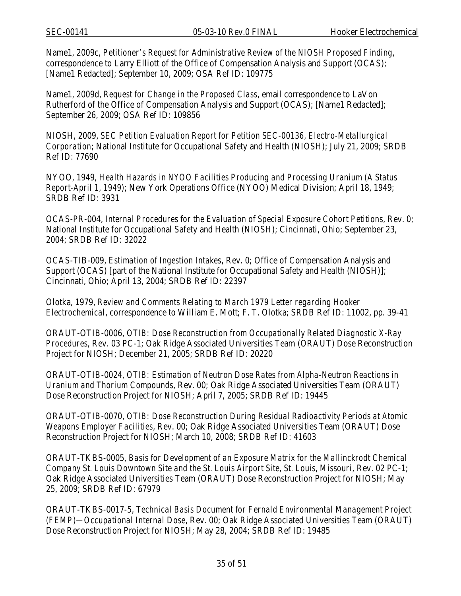Name1, 2009c, *Petitioner's Request for Administrative Review of the NIOSH Proposed Finding*, correspondence to Larry Elliott of the Office of Compensation Analysis and Support (OCAS); [Name1 Redacted]; September 10, 2009; OSA Ref ID: 109775

Name1, 2009d, *Request for Change in the Proposed Class*, email correspondence to LaVon Rutherford of the Office of Compensation Analysis and Support (OCAS); [Name1 Redacted]; September 26, 2009; OSA Ref ID: 109856

NIOSH, 2009, *SEC Petition Evaluation Report for Petition SEC-00136, Electro-Metallurgical Corporation*; National Institute for Occupational Safety and Health (NIOSH); July 21, 2009; SRDB Ref ID: 77690

NYOO, 1949, *Health Hazards in NYOO Facilities Producing and Processing Uranium (A Status Report-April 1, 1949)*; New York Operations Office (NYOO) Medical Division; April 18, 1949; SRDB Ref ID: 3931

OCAS-PR-004, *Internal Procedures for the Evaluation of Special Exposure Cohort Petitions*, Rev. 0; National Institute for Occupational Safety and Health (NIOSH); Cincinnati, Ohio; September 23, 2004; SRDB Ref ID: 32022

OCAS-TIB-009, *Estimation of Ingestion Intakes*, Rev. 0; Office of Compensation Analysis and Support (OCAS) [part of the National Institute for Occupational Safety and Health (NIOSH)]; Cincinnati, Ohio; April 13, 2004; SRDB Ref ID: 22397

Olotka, 1979, *Review and Comments Relating to March 1979 Letter regarding Hooker Electrochemical*, correspondence to William E. Mott; F. T. Olotka; SRDB Ref ID: 11002, pp. 39-41

ORAUT-OTIB-0006, *OTIB: Dose Reconstruction from Occupationally Related Diagnostic X-Ray Procedures*, Rev. 03 PC-1; Oak Ridge Associated Universities Team (ORAUT) Dose Reconstruction Project for NIOSH; December 21, 2005; SRDB Ref ID: 20220

ORAUT-OTIB-0024, *OTIB: Estimation of Neutron Dose Rates from Alpha-Neutron Reactions in Uranium and Thorium Compounds*, Rev. 00; Oak Ridge Associated Universities Team (ORAUT) Dose Reconstruction Project for NIOSH; April 7, 2005; SRDB Ref ID: 19445

ORAUT-OTIB-0070, *OTIB: Dose Reconstruction During Residual Radioactivity Periods at Atomic Weapons Employer Facilities*, Rev. 00; Oak Ridge Associated Universities Team (ORAUT) Dose Reconstruction Project for NIOSH; March 10, 2008; SRDB Ref ID: 41603

ORAUT-TKBS-0005, *Basis for Development of an Exposure Matrix for the Mallinckrodt Chemical Company St. Louis Downtown Site and the St. Louis Airport Site, St. Louis, Missouri*, Rev. 02 PC-1; Oak Ridge Associated Universities Team (ORAUT) Dose Reconstruction Project for NIOSH; May 25, 2009; SRDB Ref ID: 67979

ORAUT-TKBS-0017-5, *Technical Basis Document for Fernald Environmental Management Project (FEMP)—Occupational Internal Dose*, Rev. 00; Oak Ridge Associated Universities Team (ORAUT) Dose Reconstruction Project for NIOSH; May 28, 2004; SRDB Ref ID: 19485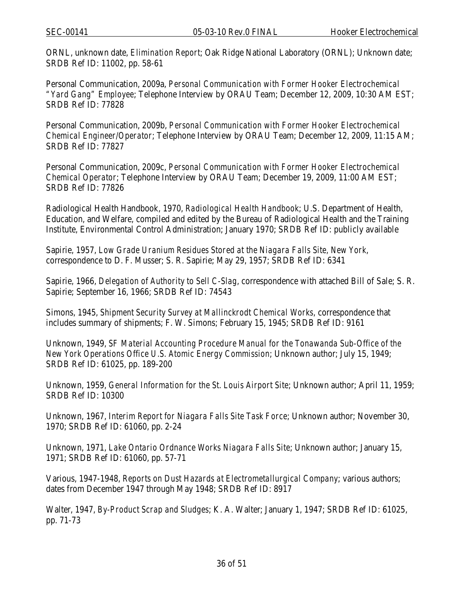ORNL, unknown date, *Elimination Report*; Oak Ridge National Laboratory (ORNL); Unknown date; SRDB Ref ID: 11002, pp. 58-61

Personal Communication, 2009a, *Personal Communication with Former Hooker Electrochemical "Yard Gang" Employee*; Telephone Interview by ORAU Team; December 12, 2009, 10:30 AM EST; SRDB Ref ID: 77828

Personal Communication, 2009b, *Personal Communication with Former Hooker Electrochemical Chemical Engineer/Operator*; Telephone Interview by ORAU Team; December 12, 2009, 11:15 AM; SRDB Ref ID: 77827

Personal Communication, 2009c, *Personal Communication with Former Hooker Electrochemical Chemical Operator*; Telephone Interview by ORAU Team; December 19, 2009, 11:00 AM EST; SRDB Ref ID: 77826

Radiological Health Handbook, 1970, *Radiological Health Handbook*; U.S. Department of Health, Education, and Welfare, compiled and edited by the Bureau of Radiological Health and the Training Institute, Environmental Control Administration; January 1970; SRDB Ref ID: publicly available

Sapirie, 1957, *Low Grade Uranium Residues Stored at the Niagara Falls Site, New York*, correspondence to D. F. Musser; S. R. Sapirie; May 29, 1957; SRDB Ref ID: 6341

Sapirie, 1966, *Delegation of Authority to Sell C-Slag*, correspondence with attached Bill of Sale; S. R. Sapirie; September 16, 1966; SRDB Ref ID: 74543

Simons, 1945, *Shipment Security Survey at Mallinckrodt Chemical Works*, correspondence that includes summary of shipments; F. W. Simons; February 15, 1945; SRDB Ref ID: 9161

Unknown, 1949, *SF Material Accounting Procedure Manual for the Tonawanda Sub-Office of the New York Operations Office U.S. Atomic Energy Commission*; Unknown author; July 15, 1949; SRDB Ref ID: 61025, pp. 189-200

Unknown, 1959, *General Information for the St. Louis Airport Site*; Unknown author; April 11, 1959; SRDB Ref ID: 10300

Unknown, 1967, *Interim Report for Niagara Falls Site Task Force*; Unknown author; November 30, 1970; SRDB Ref ID: 61060, pp. 2-24

Unknown, 1971, *Lake Ontario Ordnance Works Niagara Falls Site*; Unknown author; January 15, 1971; SRDB Ref ID: 61060, pp. 57-71

Various, 1947-1948, *Reports on Dust Hazards at Electrometallurgical Company*; various authors; dates from December 1947 through May 1948; SRDB Ref ID: 8917

Walter, 1947, *By-Product Scrap and Sludges*; K. A. Walter; January 1, 1947; SRDB Ref ID: 61025, pp. 71-73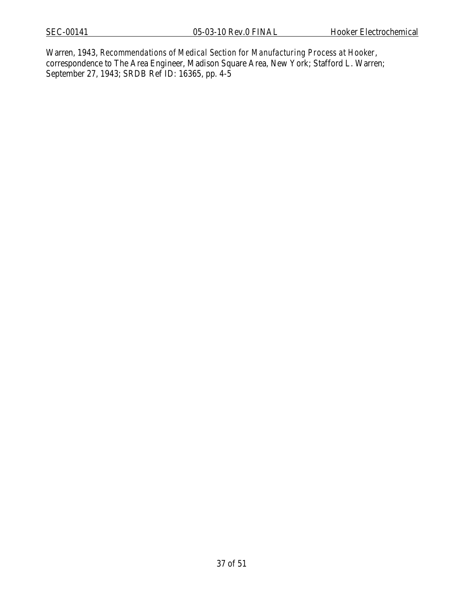Warren, 1943, *Recommendations of Medical Section for Manufacturing Process at Hooker*, correspondence to The Area Engineer, Madison Square Area, New York; Stafford L. Warren; September 27, 1943; SRDB Ref ID: 16365, pp. 4-5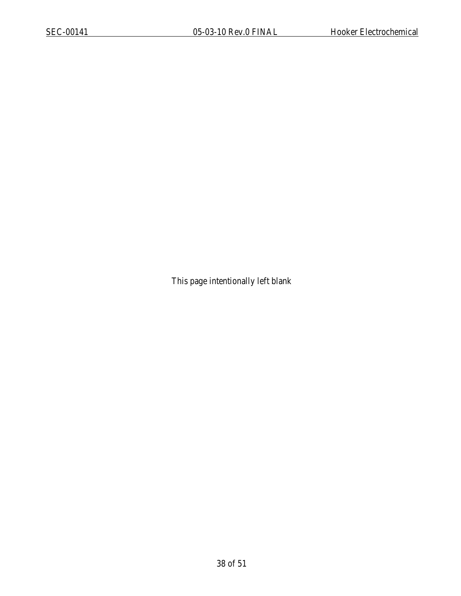This page intentionally left blank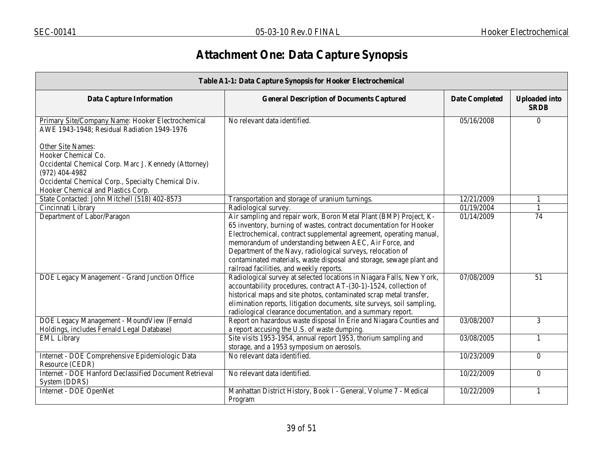# **Attachment One: Data Capture Synopsis**

<span id="page-38-0"></span>

| Table A1-1: Data Capture Synopsis for Hooker Electrochemical                                                                                                               |                                                                                                                                                                                                                                                                                                                                                                                                                                                              |                       |                                     |
|----------------------------------------------------------------------------------------------------------------------------------------------------------------------------|--------------------------------------------------------------------------------------------------------------------------------------------------------------------------------------------------------------------------------------------------------------------------------------------------------------------------------------------------------------------------------------------------------------------------------------------------------------|-----------------------|-------------------------------------|
| <b>Data Capture Information</b>                                                                                                                                            | <b>General Description of Documents Captured</b>                                                                                                                                                                                                                                                                                                                                                                                                             | <b>Date Completed</b> | <b>Uploaded into</b><br><b>SRDB</b> |
| Primary Site/Company Name: Hooker Electrochemical<br>AWE 1943-1948; Residual Radiation 1949-1976                                                                           | No relevant data identified.                                                                                                                                                                                                                                                                                                                                                                                                                                 | 05/16/2008            | $\Omega$                            |
| Other Site Names:<br>Hooker Chemical Co.<br>Occidental Chemical Corp. Marc J. Kennedy (Attorney)<br>$(972)$ 404-4982<br>Occidental Chemical Corp., Specialty Chemical Div. |                                                                                                                                                                                                                                                                                                                                                                                                                                                              |                       |                                     |
| Hooker Chemical and Plastics Corp.                                                                                                                                         |                                                                                                                                                                                                                                                                                                                                                                                                                                                              |                       |                                     |
| State Contacted: John Mitchell (518) 402-8573                                                                                                                              | Transportation and storage of uranium turnings.                                                                                                                                                                                                                                                                                                                                                                                                              | 12/21/2009            | -1                                  |
| Cincinnati Library                                                                                                                                                         | Radiological survey.                                                                                                                                                                                                                                                                                                                                                                                                                                         | 01/19/2004            | $\mathbf{1}$                        |
| Department of Labor/Paragon                                                                                                                                                | Air sampling and repair work, Boron Metal Plant (BMP) Project, K-<br>65 inventory, burning of wastes, contract documentation for Hooker<br>Electrochemical, contract supplemental agreement, operating manual,<br>memorandum of understanding between AEC, Air Force, and<br>Department of the Navy, radiological surveys, relocation of<br>contaminated materials, waste disposal and storage, sewage plant and<br>railroad facilities, and weekly reports. | 01/14/2009            | 74                                  |
| DOE Legacy Management - Grand Junction Office                                                                                                                              | Radiological survey at selected locations in Niagara Falls, New York,<br>accountability procedures, contract AT-(30-1)-1524, collection of<br>historical maps and site photos, contaminated scrap metal transfer,<br>elimination reports, litigation documents, site surveys, soil sampling,<br>radiological clearance documentation, and a summary report.                                                                                                  | 07/08/2009            | 51                                  |
| DOE Legacy Management - MoundView (Fernald<br>Holdings, includes Fernald Legal Database)                                                                                   | Report on hazardous waste disposal In Erie and Niagara Counties and<br>a report accusing the U.S. of waste dumping.                                                                                                                                                                                                                                                                                                                                          | 03/08/2007            | 3                                   |
| <b>EML</b> Library                                                                                                                                                         | Site visits 1953-1954, annual report 1953, thorium sampling and<br>storage, and a 1953 symposium on aerosols.                                                                                                                                                                                                                                                                                                                                                | 03/08/2005            | $\mathbf{1}$                        |
| Internet - DOE Comprehensive Epidemiologic Data<br>Resource (CEDR)                                                                                                         | No relevant data identified.                                                                                                                                                                                                                                                                                                                                                                                                                                 | 10/23/2009            | $\mathbf{0}$                        |
| Internet - DOE Hanford Declassified Document Retrieval<br>System (DDRS)                                                                                                    | No relevant data identified.                                                                                                                                                                                                                                                                                                                                                                                                                                 | 10/22/2009            | $\overline{0}$                      |
| Internet - DOE OpenNet                                                                                                                                                     | Manhattan District History, Book I - General, Volume 7 - Medical<br>Program                                                                                                                                                                                                                                                                                                                                                                                  | 10/22/2009            |                                     |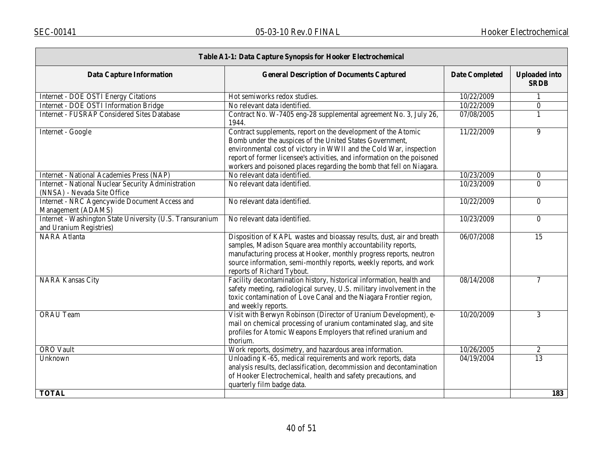| Table A1-1: Data Capture Synopsis for Hooker Electrochemical                         |                                                                                                                                                                                                                                                                                                                                                    |                       |                                     |
|--------------------------------------------------------------------------------------|----------------------------------------------------------------------------------------------------------------------------------------------------------------------------------------------------------------------------------------------------------------------------------------------------------------------------------------------------|-----------------------|-------------------------------------|
| <b>Data Capture Information</b>                                                      | <b>General Description of Documents Captured</b>                                                                                                                                                                                                                                                                                                   | <b>Date Completed</b> | <b>Uploaded</b> into<br><b>SRDB</b> |
| Internet - DOE OSTI Energy Citations                                                 | Hot semiworks redox studies.                                                                                                                                                                                                                                                                                                                       | 10/22/2009            | -1                                  |
| Internet - DOE OSTI Information Bridge                                               | No relevant data identified.                                                                                                                                                                                                                                                                                                                       | 10/22/2009            | $\boldsymbol{0}$                    |
| <b>Internet - FUSRAP Considered Sites Database</b>                                   | Contract No. W-7405 eng-28 supplemental agreement No. 3, July 26,<br>1944.                                                                                                                                                                                                                                                                         | 07/08/2005            | $\mathbf{1}$                        |
| Internet - Google                                                                    | Contract supplements, report on the development of the Atomic<br>Bomb under the auspices of the United States Government,<br>environmental cost of victory in WWII and the Cold War, inspection<br>report of former licensee's activities, and information on the poisoned<br>workers and poisoned places regarding the bomb that fell on Niagara. | 11/22/2009            | 9                                   |
| Internet - National Academies Press (NAP)                                            | No relevant data identified.                                                                                                                                                                                                                                                                                                                       | 10/23/2009            | $\overline{0}$                      |
| Internet - National Nuclear Security Administration<br>(NNSA) - Nevada Site Office   | No relevant data identified.                                                                                                                                                                                                                                                                                                                       | 10/23/2009            | $\Omega$                            |
| Internet - NRC Agencywide Document Access and<br>Management (ADAMS)                  | No relevant data identified.                                                                                                                                                                                                                                                                                                                       | 10/22/2009            | $\Omega$                            |
| Internet - Washington State University (U.S. Transuranium<br>and Uranium Registries) | No relevant data identified.                                                                                                                                                                                                                                                                                                                       | 10/23/2009            | $\overline{0}$                      |
| <b>NARA</b> Atlanta                                                                  | Disposition of KAPL wastes and bioassay results, dust, air and breath<br>samples, Madison Square area monthly accountability reports,<br>manufacturing process at Hooker, monthly progress reports, neutron<br>source information, semi-monthly reports, weekly reports, and work<br>reports of Richard Tybout.                                    | 06/07/2008            | 15                                  |
| <b>NARA Kansas City</b>                                                              | Facility decontamination history, historical information, health and<br>safety meeting, radiological survey, U.S. military involvement in the<br>toxic contamination of Love Canal and the Niagara Frontier region,<br>and weekly reports.                                                                                                         | 08/14/2008            | $\tau$                              |
| <b>ORAU Team</b>                                                                     | Visit with Berwyn Robinson (Director of Uranium Development), e-<br>mail on chemical processing of uranium contaminated slag, and site<br>profiles for Atomic Weapons Employers that refined uranium and<br>thorium.                                                                                                                               | 10/20/2009            | 3                                   |
| <b>ORO</b> Vault                                                                     | Work reports, dosimetry, and hazardous area information.                                                                                                                                                                                                                                                                                           | 10/26/2005            | 2                                   |
| Unknown                                                                              | Unloading K-65, medical requirements and work reports, data<br>analysis results, declassification, decommission and decontamination<br>of Hooker Electrochemical, health and safety precautions, and<br>quarterly film badge data.                                                                                                                 | 04/19/2004            | $\overline{13}$                     |
| <b>TOTAL</b>                                                                         |                                                                                                                                                                                                                                                                                                                                                    |                       | 183                                 |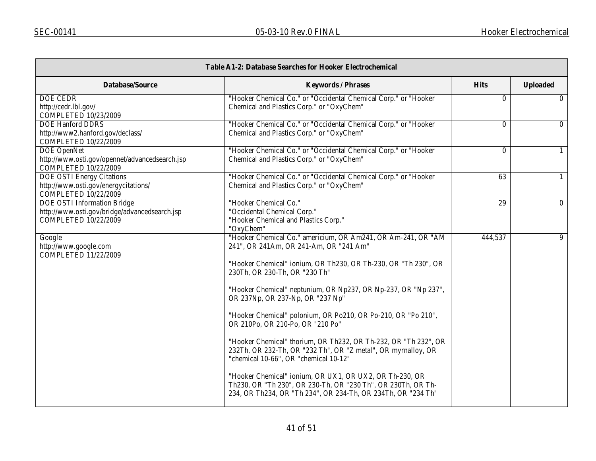| <b>Table A1-2: Database Searches for Hooker Electrochemical</b>                                             |                                                                                                                                                                                                                                                                                                                                                                                                                                                                                                                                                                                                                                                                                                                                                                                              |             |                 |
|-------------------------------------------------------------------------------------------------------------|----------------------------------------------------------------------------------------------------------------------------------------------------------------------------------------------------------------------------------------------------------------------------------------------------------------------------------------------------------------------------------------------------------------------------------------------------------------------------------------------------------------------------------------------------------------------------------------------------------------------------------------------------------------------------------------------------------------------------------------------------------------------------------------------|-------------|-----------------|
| <b>Database/Source</b>                                                                                      | <b>Keywords / Phrases</b>                                                                                                                                                                                                                                                                                                                                                                                                                                                                                                                                                                                                                                                                                                                                                                    | <b>Hits</b> | <b>Uploaded</b> |
| <b>DOE CEDR</b><br>http://cedr.lbl.gov/<br>COMPLETED 10/23/2009                                             | "Hooker Chemical Co." or "Occidental Chemical Corp." or "Hooker<br>Chemical and Plastics Corp." or "OxyChem"                                                                                                                                                                                                                                                                                                                                                                                                                                                                                                                                                                                                                                                                                 | $\Omega$    | $\Omega$        |
| <b>DOE Hanford DDRS</b><br>http://www2.hanford.gov/declass/<br>COMPLETED 10/22/2009                         | "Hooker Chemical Co." or "Occidental Chemical Corp." or "Hooker<br>Chemical and Plastics Corp." or "OxyChem"                                                                                                                                                                                                                                                                                                                                                                                                                                                                                                                                                                                                                                                                                 | $\Omega$    | $\Omega$        |
| DOE OpenNet<br>http://www.osti.gov/opennet/advancedsearch.jsp<br>COMPLETED 10/22/2009                       | "Hooker Chemical Co." or "Occidental Chemical Corp." or "Hooker<br>Chemical and Plastics Corp." or "OxyChem"                                                                                                                                                                                                                                                                                                                                                                                                                                                                                                                                                                                                                                                                                 | $\Omega$    | $\mathbf{1}$    |
| <b>DOE OSTI Energy Citations</b><br>http://www.osti.gov/energycitations/<br>COMPLETED 10/22/2009            | "Hooker Chemical Co." or "Occidental Chemical Corp." or "Hooker<br>Chemical and Plastics Corp." or "OxyChem"                                                                                                                                                                                                                                                                                                                                                                                                                                                                                                                                                                                                                                                                                 | 63          | $\mathbf{1}$    |
| DOE OSTI Information Bridge<br>http://www.osti.gov/bridge/advancedsearch.jsp<br><b>COMPLETED 10/22/2009</b> | "Hooker Chemical Co."<br>"Occidental Chemical Corp."<br>"Hooker Chemical and Plastics Corp."<br>"OxyChem"                                                                                                                                                                                                                                                                                                                                                                                                                                                                                                                                                                                                                                                                                    | 29          | $\Omega$        |
| Google<br>http://www.google.com<br><b>COMPLETED 11/22/2009</b>                                              | "Hooker Chemical Co." americium, OR Am241, OR Am-241, OR "AM<br>241", OR 241Am, OR 241-Am, OR "241 Am"<br>"Hooker Chemical" ionium, OR Th230, OR Th-230, OR "Th 230", OR<br>230Th, OR 230-Th, OR "230 Th"<br>"Hooker Chemical" neptunium, OR Np237, OR Np-237, OR "Np 237",<br>OR 237Np, OR 237-Np, OR "237 Np"<br>"Hooker Chemical" polonium, OR Po210, OR Po-210, OR "Po 210",<br>OR 210Po, OR 210-Po, OR "210 Po"<br>"Hooker Chemical" thorium, OR Th232, OR Th-232, OR "Th 232", OR<br>232Th, OR 232-Th, OR "232 Th", OR "Z metal", OR myrnalloy, OR<br>"chemical 10-66", OR "chemical 10-12"<br>"Hooker Chemical" ionium, OR UX1, OR UX2, OR Th-230, OR<br>Th230, OR "Th 230", OR 230-Th, OR "230 Th", OR 230Th, OR Th-<br>234, OR Th234, OR "Th 234", OR 234-Th, OR 234Th, OR "234 Th" | 444,537     | 9               |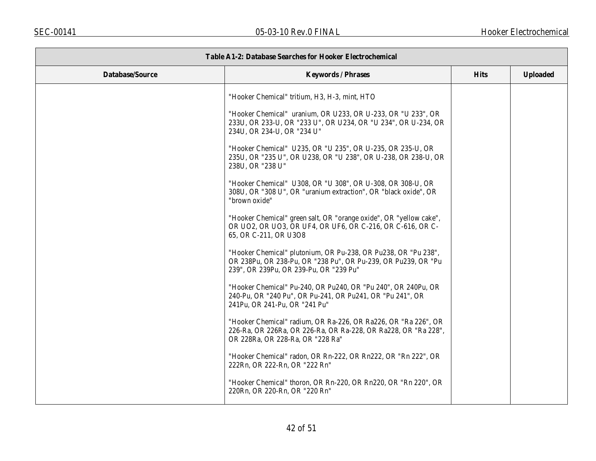| Table A1-2: Database Searches for Hooker Electrochemical |                                                                                                                                                                           |             |                 |
|----------------------------------------------------------|---------------------------------------------------------------------------------------------------------------------------------------------------------------------------|-------------|-----------------|
| Database/Source                                          | <b>Keywords / Phrases</b>                                                                                                                                                 | <b>Hits</b> | <b>Uploaded</b> |
|                                                          | "Hooker Chemical" tritium, H3, H-3, mint, HTO                                                                                                                             |             |                 |
|                                                          | "Hooker Chemical" uranium, OR U233, OR U-233, OR "U 233", OR<br>233U, OR 233-U, OR "233 U", OR U234, OR "U 234", OR U-234, OR<br>234U, OR 234-U, OR "234 U"               |             |                 |
|                                                          | "Hooker Chemical" U235, OR "U 235", OR U-235, OR 235-U, OR<br>235U, OR "235 U", OR U238, OR "U 238", OR U-238, OR 238-U, OR<br>238U, OR "238 U"                           |             |                 |
|                                                          | "Hooker Chemical" U308, OR "U 308", OR U-308, OR 308-U, OR<br>308U, OR "308 U", OR "uranium extraction", OR "black oxide", OR<br>"brown oxide"                            |             |                 |
|                                                          | "Hooker Chemical" green salt, OR "orange oxide", OR "yellow cake",<br>OR UO2, OR UO3, OR UF4, OR UF6, OR C-216, OR C-616, OR C-<br>65, OR C-211, OR U3O8                  |             |                 |
|                                                          | "Hooker Chemical" plutonium, OR Pu-238, OR Pu238, OR "Pu 238",<br>OR 238Pu, OR 238-Pu, OR "238 Pu", OR Pu-239, OR Pu239, OR "Pu<br>239", OR 239Pu, OR 239-Pu, OR "239 Pu" |             |                 |
|                                                          | "Hooker Chemical" Pu-240, OR Pu240, OR "Pu 240", OR 240Pu, OR<br>240-Pu, OR "240 Pu", OR Pu-241, OR Pu241, OR "Pu 241", OR<br>241Pu, OR 241-Pu, OR "241 Pu"               |             |                 |
|                                                          | "Hooker Chemical" radium, OR Ra-226, OR Ra226, OR "Ra 226", OR<br>226-Ra, OR 226Ra, OR 226-Ra, OR Ra-228, OR Ra228, OR "Ra 228",<br>OR 228Ra, OR 228-Ra, OR "228 Ra"      |             |                 |
|                                                          | "Hooker Chemical" radon, OR Rn-222, OR Rn222, OR "Rn 222", OR<br>222Rn, OR 222-Rn, OR "222 Rn"                                                                            |             |                 |
|                                                          | "Hooker Chemical" thoron, OR Rn-220, OR Rn220, OR "Rn 220", OR<br>220Rn, OR 220-Rn, OR "220 Rn"                                                                           |             |                 |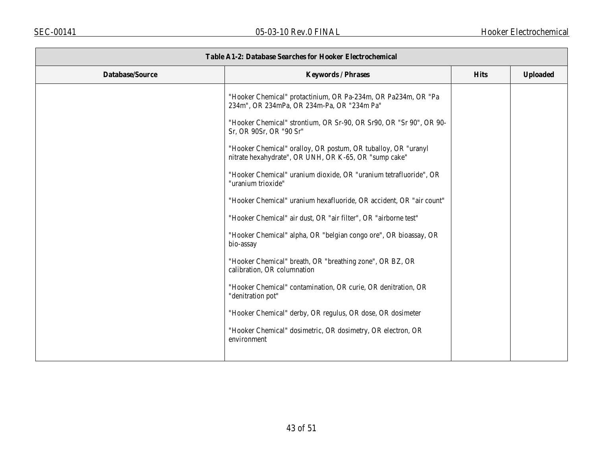| <b>Table A1-2: Database Searches for Hooker Electrochemical</b> |                                                                                                                        |             |                 |
|-----------------------------------------------------------------|------------------------------------------------------------------------------------------------------------------------|-------------|-----------------|
| Database/Source                                                 | <b>Keywords / Phrases</b>                                                                                              | <b>Hits</b> | <b>Uploaded</b> |
|                                                                 | "Hooker Chemical" protactinium, OR Pa-234m, OR Pa234m, OR "Pa<br>234m", OR 234mPa, OR 234m-Pa, OR "234m Pa"            |             |                 |
|                                                                 | "Hooker Chemical" strontium, OR Sr-90, OR Sr90, OR "Sr 90", OR 90-<br>Sr, OR 90Sr, OR "90 Sr"                          |             |                 |
|                                                                 | "Hooker Chemical" oralloy, OR postum, OR tuballoy, OR "uranyl<br>nitrate hexahydrate", OR UNH, OR K-65, OR "sump cake" |             |                 |
|                                                                 | "Hooker Chemical" uranium dioxide, OR "uranium tetrafluoride", OR<br>"uranium trioxide"                                |             |                 |
|                                                                 | "Hooker Chemical" uranium hexafluoride, OR accident, OR "air count"                                                    |             |                 |
|                                                                 | "Hooker Chemical" air dust, OR "air filter", OR "airborne test"                                                        |             |                 |
|                                                                 | "Hooker Chemical" alpha, OR "belgian congo ore", OR bioassay, OR<br>bio-assay                                          |             |                 |
|                                                                 | "Hooker Chemical" breath, OR "breathing zone", OR BZ, OR<br>calibration, OR columnation                                |             |                 |
|                                                                 | "Hooker Chemical" contamination, OR curie, OR denitration, OR<br>"denitration pot"                                     |             |                 |
|                                                                 | "Hooker Chemical" derby, OR regulus, OR dose, OR dosimeter                                                             |             |                 |
|                                                                 | "Hooker Chemical" dosimetric, OR dosimetry, OR electron, OR<br>environment                                             |             |                 |
|                                                                 |                                                                                                                        |             |                 |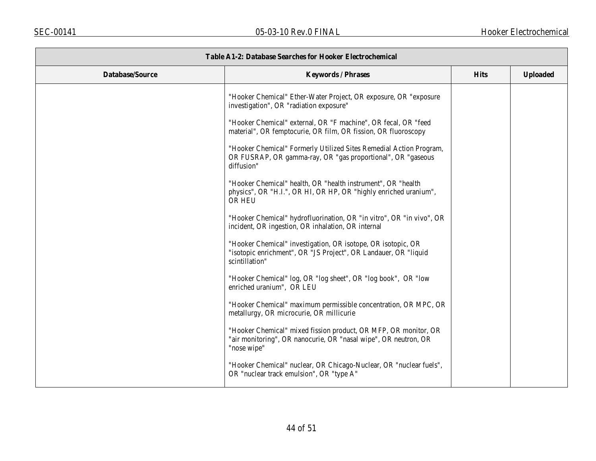| Table A1-2: Database Searches for Hooker Electrochemical |                                                                                                                                                   |             |                 |
|----------------------------------------------------------|---------------------------------------------------------------------------------------------------------------------------------------------------|-------------|-----------------|
| Database/Source                                          | <b>Keywords / Phrases</b>                                                                                                                         | <b>Hits</b> | <b>Uploaded</b> |
|                                                          | "Hooker Chemical" Ether-Water Project, OR exposure, OR "exposure<br>investigation", OR "radiation exposure"                                       |             |                 |
|                                                          | "Hooker Chemical" external, OR "F machine", OR fecal, OR "feed<br>material", OR femptocurie, OR film, OR fission, OR fluoroscopy                  |             |                 |
|                                                          | "Hooker Chemical" Formerly Utilized Sites Remedial Action Program,<br>OR FUSRAP, OR gamma-ray, OR "gas proportional", OR "gaseous<br>diffusion"   |             |                 |
|                                                          | "Hooker Chemical" health, OR "health instrument", OR "health<br>physics", OR "H.I.", OR HI, OR HP, OR "highly enriched uranium",<br><b>OR HEU</b> |             |                 |
|                                                          | "Hooker Chemical" hydrofluorination, OR "in vitro", OR "in vivo", OR<br>incident, OR ingestion, OR inhalation, OR internal                        |             |                 |
|                                                          | "Hooker Chemical" investigation, OR isotope, OR isotopic, OR<br>"isotopic enrichment", OR "JS Project", OR Landauer, OR "liquid<br>scintillation" |             |                 |
|                                                          | "Hooker Chemical" log, OR "log sheet", OR "log book", OR "low<br>enriched uranium", OR LEU                                                        |             |                 |
|                                                          | "Hooker Chemical" maximum permissible concentration, OR MPC, OR<br>metallurgy, OR microcurie, OR millicurie                                       |             |                 |
|                                                          | "Hooker Chemical" mixed fission product, OR MFP, OR monitor, OR<br>"air monitoring", OR nanocurie, OR "nasal wipe", OR neutron, OR<br>"nose wipe" |             |                 |
|                                                          | "Hooker Chemical" nuclear, OR Chicago-Nuclear, OR "nuclear fuels",<br>OR "nuclear track emulsion", OR "type A"                                    |             |                 |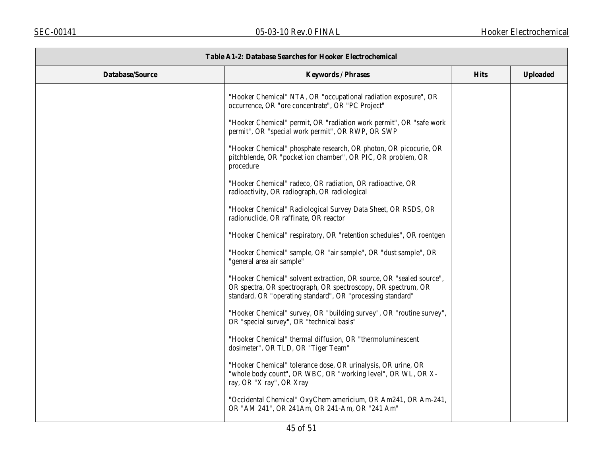| <b>Table A1-2: Database Searches for Hooker Electrochemical</b> |                                                                                                                                                                                                      |             |                 |
|-----------------------------------------------------------------|------------------------------------------------------------------------------------------------------------------------------------------------------------------------------------------------------|-------------|-----------------|
| Database/Source                                                 | <b>Keywords / Phrases</b>                                                                                                                                                                            | <b>Hits</b> | <b>Uploaded</b> |
|                                                                 | "Hooker Chemical" NTA, OR "occupational radiation exposure", OR<br>occurrence, OR "ore concentrate", OR "PC Project"                                                                                 |             |                 |
|                                                                 | "Hooker Chemical" permit, OR "radiation work permit", OR "safe work<br>permit", OR "special work permit", OR RWP, OR SWP                                                                             |             |                 |
|                                                                 | "Hooker Chemical" phosphate research, OR photon, OR picocurie, OR<br>pitchblende, OR "pocket ion chamber", OR PIC, OR problem, OR<br>procedure                                                       |             |                 |
|                                                                 | "Hooker Chemical" radeco, OR radiation, OR radioactive, OR<br>radioactivity, OR radiograph, OR radiological                                                                                          |             |                 |
|                                                                 | "Hooker Chemical" Radiological Survey Data Sheet, OR RSDS, OR<br>radionuclide, OR raffinate, OR reactor                                                                                              |             |                 |
|                                                                 | "Hooker Chemical" respiratory, OR "retention schedules", OR roentgen                                                                                                                                 |             |                 |
|                                                                 | "Hooker Chemical" sample, OR "air sample", OR "dust sample", OR<br>"general area air sample"                                                                                                         |             |                 |
|                                                                 | "Hooker Chemical" solvent extraction, OR source, OR "sealed source",<br>OR spectra, OR spectrograph, OR spectroscopy, OR spectrum, OR<br>standard, OR "operating standard", OR "processing standard" |             |                 |
|                                                                 | "Hooker Chemical" survey, OR "building survey", OR "routine survey",<br>OR "special survey", OR "technical basis"                                                                                    |             |                 |
|                                                                 | "Hooker Chemical" thermal diffusion, OR "thermoluminescent<br>dosimeter", OR TLD, OR "Tiger Team"                                                                                                    |             |                 |
|                                                                 | "Hooker Chemical" tolerance dose, OR urinalysis, OR urine, OR<br>"whole body count", OR WBC, OR "working level", OR WL, OR X-<br>ray, OR "X ray", OR Xray                                            |             |                 |
|                                                                 | "Occidental Chemical" OxyChem americium, OR Am241, OR Am-241,<br>OR "AM 241", OR 241Am, OR 241-Am, OR "241 Am"                                                                                       |             |                 |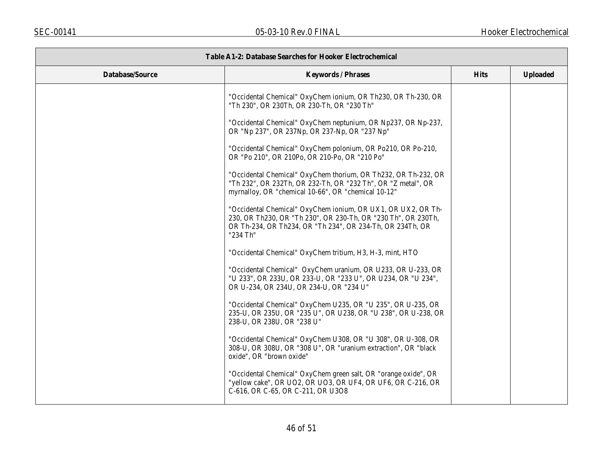| <b>Table A1-2: Database Searches for Hooker Electrochemical</b> |                                                                                                                                                                                                                                                                                                                                                                                                                                                                                                                                                                                                                                                                                                                                                                                                                |             |                 |
|-----------------------------------------------------------------|----------------------------------------------------------------------------------------------------------------------------------------------------------------------------------------------------------------------------------------------------------------------------------------------------------------------------------------------------------------------------------------------------------------------------------------------------------------------------------------------------------------------------------------------------------------------------------------------------------------------------------------------------------------------------------------------------------------------------------------------------------------------------------------------------------------|-------------|-----------------|
| Database/Source                                                 | <b>Keywords / Phrases</b>                                                                                                                                                                                                                                                                                                                                                                                                                                                                                                                                                                                                                                                                                                                                                                                      | <b>Hits</b> | <b>Uploaded</b> |
|                                                                 | "Occidental Chemical" OxyChem ionium, OR Th230, OR Th-230, OR<br>"Th 230", OR 230Th, OR 230-Th, OR "230 Th"<br>"Occidental Chemical" OxyChem neptunium, OR Np237, OR Np-237,<br>OR "Np 237", OR 237Np, OR 237-Np, OR "237 Np"<br>"Occidental Chemical" OxyChem polonium, OR Po210, OR Po-210,<br>OR "Po 210", OR 210Po, OR 210-Po, OR "210 Po"<br>"Occidental Chemical" OxyChem thorium, OR Th232, OR Th-232, OR<br>"Th 232", OR 232Th, OR 232-Th, OR "232 Th", OR "Z metal", OR<br>myrnalloy, OR "chemical 10-66", OR "chemical 10-12"<br>"Occidental Chemical" OxyChem ionium, OR UX1, OR UX2, OR Th-<br>230, OR Th230, OR "Th 230", OR 230-Th, OR "230 Th", OR 230Th,<br>OR Th-234, OR Th234, OR "Th 234", OR 234-Th, OR 234Th, OR<br>"234 Th"<br>"Occidental Chemical" OxyChem tritium, H3, H-3, mint, HTO |             |                 |
|                                                                 | "Occidental Chemical" OxyChem uranium, OR U233, OR U-233, OR<br>"U 233", OR 233U, OR 233-U, OR "233 U", OR U234, OR "U 234",<br>OR U-234, OR 234U, OR 234-U, OR "234 U"                                                                                                                                                                                                                                                                                                                                                                                                                                                                                                                                                                                                                                        |             |                 |
|                                                                 | "Occidental Chemical" OxyChem U235, OR "U 235", OR U-235, OR<br>235-U, OR 235U, OR "235 U", OR U238, OR "U 238", OR U-238, OR<br>238-U, OR 238U, OR "238 U"                                                                                                                                                                                                                                                                                                                                                                                                                                                                                                                                                                                                                                                    |             |                 |
|                                                                 | "Occidental Chemical" OxyChem U308, OR "U 308", OR U-308, OR<br>308-U, OR 308U, OR "308 U", OR "uranium extraction", OR "black<br>oxide", OR "brown oxide"                                                                                                                                                                                                                                                                                                                                                                                                                                                                                                                                                                                                                                                     |             |                 |
|                                                                 | "Occidental Chemical" OxyChem green salt, OR "orange oxide", OR<br>"yellow cake", OR UO2, OR UO3, OR UF4, OR UF6, OR C-216, OR<br>C-616, OR C-65, OR C-211, OR U3O8                                                                                                                                                                                                                                                                                                                                                                                                                                                                                                                                                                                                                                            |             |                 |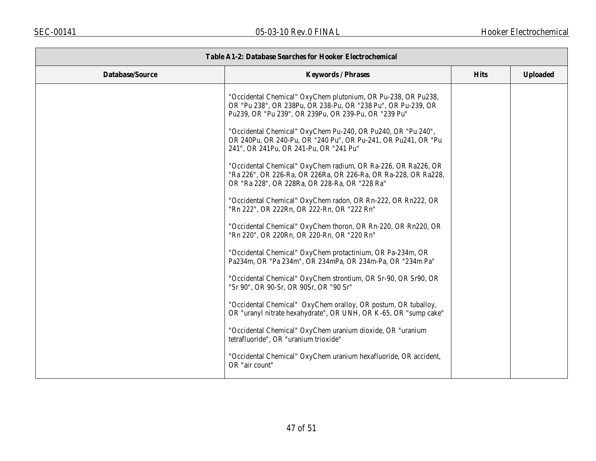| <b>Table A1-2: Database Searches for Hooker Electrochemical</b> |                                                                                                                                                                                       |             |                 |
|-----------------------------------------------------------------|---------------------------------------------------------------------------------------------------------------------------------------------------------------------------------------|-------------|-----------------|
| Database/Source                                                 | <b>Keywords / Phrases</b>                                                                                                                                                             | <b>Hits</b> | <b>Uploaded</b> |
|                                                                 | "Occidental Chemical" OxyChem plutonium, OR Pu-238, OR Pu238,<br>OR "Pu 238", OR 238Pu, OR 238-Pu, OR "238 Pu", OR Pu-239, OR<br>Pu239, OR "Pu 239", OR 239Pu, OR 239-Pu, OR "239 Pu" |             |                 |
|                                                                 | "Occidental Chemical" OxyChem Pu-240, OR Pu240, OR "Pu 240",<br>OR 240Pu, OR 240-Pu, OR "240 Pu", OR Pu-241, OR Pu241, OR "Pu<br>241", OR 241Pu, OR 241-Pu, OR "241 Pu"               |             |                 |
|                                                                 | "Occidental Chemical" OxyChem radium, OR Ra-226, OR Ra226, OR<br>"Ra 226", OR 226-Ra, OR 226Ra, OR 226-Ra, OR Ra-228, OR Ra228,<br>OR "Ra 228", OR 228Ra, OR 228-Ra, OR "228 Ra"      |             |                 |
|                                                                 | "Occidental Chemical" OxyChem radon, OR Rn-222, OR Rn222, OR<br>"Rn 222", OR 222Rn, OR 222-Rn, OR "222 Rn"                                                                            |             |                 |
|                                                                 | "Occidental Chemical" OxyChem thoron, OR Rn-220, OR Rn220, OR<br>"Rn 220", OR 220Rn, OR 220-Rn, OR "220 Rn"                                                                           |             |                 |
|                                                                 | "Occidental Chemical" OxyChem protactinium, OR Pa-234m, OR<br>Pa234m, OR "Pa 234m", OR 234mPa, OR 234m-Pa, OR "234m Pa"                                                               |             |                 |
|                                                                 | "Occidental Chemical" OxyChem strontium, OR Sr-90, OR Sr90, OR<br>"Sr 90", OR 90-Sr, OR 90Sr, OR "90 Sr"                                                                              |             |                 |
|                                                                 | "Occidental Chemical" OxyChem oralloy, OR postum, OR tuballoy,<br>OR "uranyl nitrate hexahydrate", OR UNH, OR K-65, OR "sump cake"                                                    |             |                 |
|                                                                 | "Occidental Chemical" OxyChem uranium dioxide, OR "uranium<br>tetrafluoride", OR "uranium trioxide"                                                                                   |             |                 |
|                                                                 | "Occidental Chemical" OxyChem uranium hexafluoride, OR accident,<br>OR "air count"                                                                                                    |             |                 |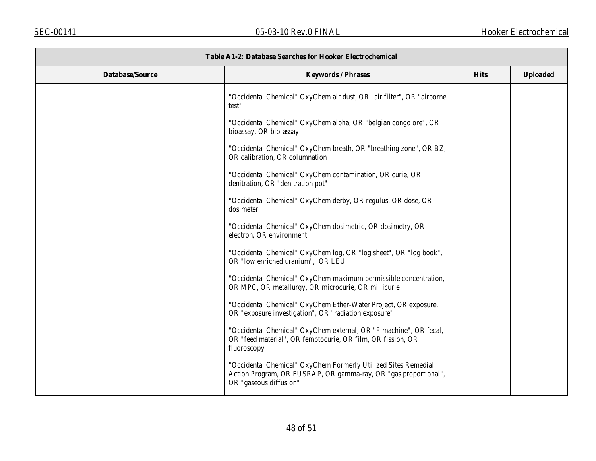| <b>Table A1-2: Database Searches for Hooker Electrochemical</b> |                                                                                                                                                             |             |                 |
|-----------------------------------------------------------------|-------------------------------------------------------------------------------------------------------------------------------------------------------------|-------------|-----------------|
| Database/Source                                                 | <b>Keywords / Phrases</b>                                                                                                                                   | <b>Hits</b> | <b>Uploaded</b> |
|                                                                 | "Occidental Chemical" OxyChem air dust, OR "air filter", OR "airborne<br>test"                                                                              |             |                 |
|                                                                 | "Occidental Chemical" OxyChem alpha, OR "belgian congo ore", OR<br>bioassay, OR bio-assay                                                                   |             |                 |
|                                                                 | "Occidental Chemical" OxyChem breath, OR "breathing zone", OR BZ,<br>OR calibration, OR columnation                                                         |             |                 |
|                                                                 | "Occidental Chemical" OxyChem contamination, OR curie, OR<br>denitration, OR "denitration pot"                                                              |             |                 |
|                                                                 | "Occidental Chemical" OxyChem derby, OR regulus, OR dose, OR<br>dosimeter                                                                                   |             |                 |
|                                                                 | "Occidental Chemical" OxyChem dosimetric, OR dosimetry, OR<br>electron, OR environment                                                                      |             |                 |
|                                                                 | "Occidental Chemical" OxyChem log, OR "log sheet", OR "log book",<br>OR "low enriched uranium", OR LEU                                                      |             |                 |
|                                                                 | "Occidental Chemical" OxyChem maximum permissible concentration,<br>OR MPC, OR metallurgy, OR microcurie, OR millicurie                                     |             |                 |
|                                                                 | "Occidental Chemical" OxyChem Ether-Water Project, OR exposure,<br>OR "exposure investigation", OR "radiation exposure"                                     |             |                 |
|                                                                 | "Occidental Chemical" OxyChem external, OR "F machine", OR fecal,<br>OR "feed material", OR femptocurie, OR film, OR fission, OR<br>fluoroscopy             |             |                 |
|                                                                 | "Occidental Chemical" OxyChem Formerly Utilized Sites Remedial<br>Action Program, OR FUSRAP, OR gamma-ray, OR "gas proportional",<br>OR "gaseous diffusion" |             |                 |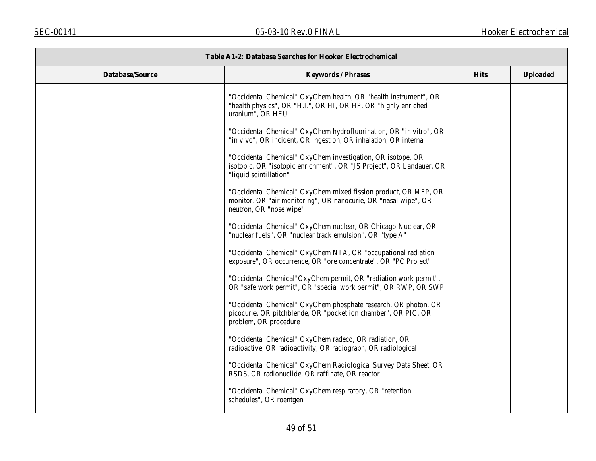| <b>Table A1-2: Database Searches for Hooker Electrochemical</b> |                                                                                                                                                               |             |                 |
|-----------------------------------------------------------------|---------------------------------------------------------------------------------------------------------------------------------------------------------------|-------------|-----------------|
| Database/Source                                                 | <b>Keywords / Phrases</b>                                                                                                                                     | <b>Hits</b> | <b>Uploaded</b> |
|                                                                 | "Occidental Chemical" OxyChem health, OR "health instrument", OR<br>"health physics", OR "H.I.", OR HI, OR HP, OR "highly enriched<br>uranium", OR HEU        |             |                 |
|                                                                 | "Occidental Chemical" OxyChem hydrofluorination, OR "in vitro", OR<br>"in vivo", OR incident, OR ingestion, OR inhalation, OR internal                        |             |                 |
|                                                                 | "Occidental Chemical" OxyChem investigation, OR isotope, OR<br>isotopic, OR "isotopic enrichment", OR "JS Project", OR Landauer, OR<br>"liquid scintillation" |             |                 |
|                                                                 | "Occidental Chemical" OxyChem mixed fission product, OR MFP, OR<br>monitor, OR "air monitoring", OR nanocurie, OR "nasal wipe", OR<br>neutron, OR "nose wipe" |             |                 |
|                                                                 | "Occidental Chemical" OxyChem nuclear, OR Chicago-Nuclear, OR<br>"nuclear fuels", OR "nuclear track emulsion", OR "type A"                                    |             |                 |
|                                                                 | "Occidental Chemical" OxyChem NTA, OR "occupational radiation<br>exposure", OR occurrence, OR "ore concentrate", OR "PC Project"                              |             |                 |
|                                                                 | "Occidental Chemical"OxyChem permit, OR "radiation work permit",<br>OR "safe work permit", OR "special work permit", OR RWP, OR SWP                           |             |                 |
|                                                                 | "Occidental Chemical" OxyChem phosphate research, OR photon, OR<br>picocurie, OR pitchblende, OR "pocket ion chamber", OR PIC, OR<br>problem, OR procedure    |             |                 |
|                                                                 | "Occidental Chemical" OxyChem radeco, OR radiation, OR<br>radioactive, OR radioactivity, OR radiograph, OR radiological                                       |             |                 |
|                                                                 | "Occidental Chemical" OxyChem Radiological Survey Data Sheet, OR<br>RSDS, OR radionuclide, OR raffinate, OR reactor                                           |             |                 |
|                                                                 | "Occidental Chemical" OxyChem respiratory, OR "retention<br>schedules", OR roentgen                                                                           |             |                 |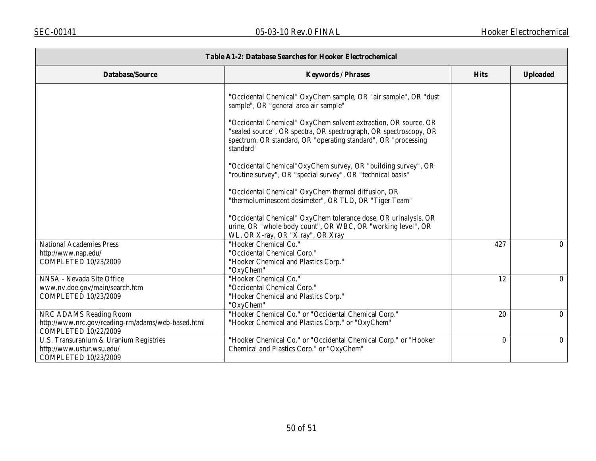| <b>Table A1-2: Database Searches for Hooker Electrochemical</b>                                             |                                                                                                                                                                                                                                                                                                                                 |             |                 |
|-------------------------------------------------------------------------------------------------------------|---------------------------------------------------------------------------------------------------------------------------------------------------------------------------------------------------------------------------------------------------------------------------------------------------------------------------------|-------------|-----------------|
| <b>Database/Source</b>                                                                                      | <b>Keywords / Phrases</b>                                                                                                                                                                                                                                                                                                       | <b>Hits</b> | <b>Uploaded</b> |
|                                                                                                             | "Occidental Chemical" OxyChem sample, OR "air sample", OR "dust<br>sample", OR "general area air sample"<br>"Occidental Chemical" OxyChem solvent extraction, OR source, OR<br>"sealed source", OR spectra, OR spectrograph, OR spectroscopy, OR<br>spectrum, OR standard, OR "operating standard", OR "processing<br>standard" |             |                 |
|                                                                                                             | "Occidental Chemical"OxyChem survey, OR "building survey", OR<br>"routine survey", OR "special survey", OR "technical basis"                                                                                                                                                                                                    |             |                 |
|                                                                                                             | "Occidental Chemical" OxyChem thermal diffusion, OR<br>"thermoluminescent dosimeter", OR TLD, OR "Tiger Team"                                                                                                                                                                                                                   |             |                 |
|                                                                                                             | "Occidental Chemical" OxyChem tolerance dose, OR urinalysis, OR<br>urine, OR "whole body count", OR WBC, OR "working level", OR<br>WL, OR X-ray, OR "X ray", OR Xray                                                                                                                                                            |             |                 |
| <b>National Academies Press</b><br>http://www.nap.edu/<br><b>COMPLETED 10/23/2009</b>                       | "Hooker Chemical Co."<br>"Occidental Chemical Corp."<br>"Hooker Chemical and Plastics Corp."<br>"OxyChem"                                                                                                                                                                                                                       | 427         | $\Omega$        |
| NNSA - Nevada Site Office<br>www.nv.doe.gov/main/search.htm<br>COMPLETED 10/23/2009                         | "Hooker Chemical Co."<br>"Occidental Chemical Corp."<br>"Hooker Chemical and Plastics Corp."<br>"OxyChem"                                                                                                                                                                                                                       | 12          | $\Omega$        |
| NRC ADAMS Reading Room<br>http://www.nrc.gov/reading-rm/adams/web-based.html<br><b>COMPLETED 10/22/2009</b> | "Hooker Chemical Co." or "Occidental Chemical Corp."<br>"Hooker Chemical and Plastics Corp." or "OxyChem"                                                                                                                                                                                                                       | 20          | $\overline{0}$  |
| U.S. Transuranium & Uranium Registries<br>http://www.ustur.wsu.edu/<br>COMPLETED 10/23/2009                 | "Hooker Chemical Co." or "Occidental Chemical Corp." or "Hooker<br>Chemical and Plastics Corp." or "OxyChem"                                                                                                                                                                                                                    | $\Omega$    | $\Omega$        |